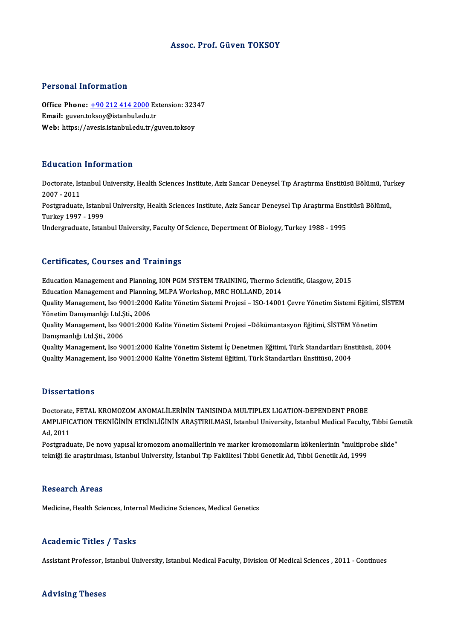## Assoc. Prof. Güven TOKSOY

## Personal Information

Personal Information<br>Office Phone: <u>+90 212 414 2000</u> Extension: 32347<br>Email: *guyo*n telsew@istanbul.edu.tr Procedula Information<br>Office Phone: <u>+90 212 414 2000</u> Ex<br>Email: guven.t[oksoy@istanbul.edu](tel:+90 212 414 2000).tr Office Phone: <u>+90 212 414 2000</u> Extension: 323<br>Email: guven.toksoy@istanbul.edu.tr<br>Web: https://avesis.istanbul.edu.tr/guven.toksoy Web: https://avesis.istanbul.edu.tr/guven.toksoy<br>Education Information

**Education Information**<br>Doctorate, Istanbul University, Health Sciences Institute, Aziz Sancar Deneysel Tıp Araştırma Enstitüsü Bölümü, Turkey<br>2007–2011 2007 -2011<br>2007 - 2011<br>Postaraduata Doctorate, Istanbul University, Health Sciences Institute, Aziz Sancar Deneysel Tıp Araştırma Enstitüsü Bölümü, Tui<br>2007 - 2011<br>Postgraduate, Istanbul University, Health Sciences Institute, Aziz Sancar Deneysel Tıp Araştır 2007 - 2011<br>Postgraduate, Istanb<br>Turkey 1997 - 1999<br>Undergraduate, Istan Postgraduate, Istanbul University, Health Sciences Institute, Aziz Sancar Deneysel Tıp Araştırma Enst<br>Turkey 1997 - 1999<br>Undergraduate, Istanbul University, Faculty Of Science, Depertment Of Biology, Turkey 1988 - 1995 Undergraduate, Istanbul University, Faculty Of Science, Depertment Of Biology, Turkey 1988 - 1995<br>Certificates, Courses and Trainings

Certificates, Courses and Trainings<br>Education Management and Planning, ION PGM SYSTEM TRAINING, Thermo Scientific, Glasgow, 2015<br>Education Management and Planning, MJ PA Werksbon, MPC HOLLAND, 2014 Education Management and Planning, ION PGM SYSTEM TRAINING, Thermo Sci<br>Education Management and Planning, ION PGM SYSTEM TRAINING, Thermo Sci<br>Quality Management, Ise 9001:2000 Kalite Vänetim Sistemi Breisei – ISO 14001 Quality Management, Iso 9001:2000 Kalite Yönetim Sistemi Projesi – ISO-14001 Çevre Yönetim Sistemi Eğitimi, SİSTEM<br>Yönetim Danısmanlığı Ltd.Sti., 2006 Education Management and Planning, MLPA Workshop, MRC HOLLAND, 2014 Quality Management, Iso 9001:2000 Kalite Yönetim Sistemi Projesi – ISO-14001 Çevre Yönetim Sistemi Eğitimi,<br>Yönetim Danışmanlığı Ltd.Şti., 2006<br>Quality Management, Iso 9001:2000 Kalite Yönetim Sistemi Projesi –Dökümantasyo Yönetim Danışmanlığı Ltd.Ş<br>Quality Management, Iso 9(<br>Danışmanlığı Ltd.Şti., 2006<br>Quality Management, Iso 9(

Quality Management, Iso 9001:2000 Kalite Yönetim Sistemi Projesi –Dökümantasyon Eğitimi, SİSTEM Yönetim<br>Danışmanlığı Ltd.Şti., 2006<br>Quality Management, Iso 9001:2000 Kalite Yönetim Sistemi İç Denetmen Eğitimi, Türk Standar Danışmanlığı Ltd.Şti., 2006<br>Quality Management, Iso 9001:2000 Kalite Yönetim Sistemi İç Denetmen Eğitimi, Türk Standartları Enstitüsü, 2004<br>Quality Management, Iso 9001:2000 Kalite Yönetim Sistemi Eğitimi, Türk Standartlar

### **Dissertations**

Dissertations<br>Doctorate, FETAL KROMOZOM ANOMALİLERİNİN TANISINDA MULTIPLEX LIGATION-DEPENDENT PROBE<br>AMBI JEJÇATION TEKNİĞİNİN ETKİNI İĞİNİN ARASTIRILMASI, İstanbul University Istanbul Medical Faculty AMPLIFICATION TEKNİĞİNİN ETKİNLİĞİNİN ARAŞTIRILMASI, Istanbul University, Istanbul Medical Faculty, Tıbbi Genetik<br>Ad. 2011 Doctorate<br>AMPLIFIC<br>Ad, 2011<br>Postanadu AMPLIFICATION TEKNİĞİNİN ETKİNLİĞİNİN ARAŞTIRILMASI, Istanbul University, Istanbul Medical Faculty, Tıbbi Ger<br>Ad, 2011<br>Postgraduate, De novo yapısal kromozom anomalilerinin ve marker kromozomların kökenlerinin "multiprobe

Ad, 2011<br>Postgraduate, De novo yapısal kromozom anomalilerinin ve marker kromozomların kökenlerinin "multiprc<br>tekniği ile araştırılması, Istanbul University, İstanbul Tıp Fakültesi Tıbbi Genetik Ad, Tıbbi Genetik Ad, 1999 tekniği ile araştırılması, Istanbul University, İstanbul Tıp Fakültesi Tıbbi Genetik Ad, Tıbbi Genetik Ad, 1999<br>Research Areas

Medicine, Health Sciences, Internal Medicine Sciences, Medical Genetics

### Academic Titles / Tasks

Assistant Professor, Istanbul University, Istanbul Medical Faculty, Division Of Medical Sciences , 2011 - Continues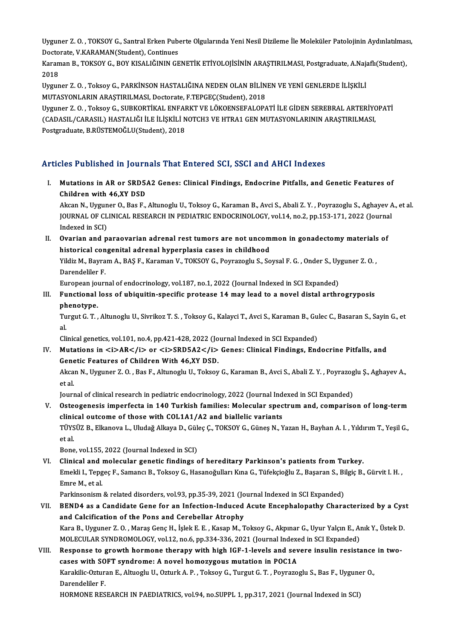Uyguner Z. O. , TOKSOY G., Santral Erken Puberte Olgularında Yeni Nesil Dizileme İle Moleküler Patolojinin Aydınlatılması,<br>Destarata K.KARAMAN(Student), Centinues Uyguner Z. O. , TOKSOY G., Santral Erken Pub<br>Doctorate, V.KARAMAN(Student), Continues<br>Karaman B., TOKSOY C., POY KISALIČININ CE Uyguner Z. O. , TOKSOY G., Santral Erken Puberte Olgularında Yeni Nesil Dizileme İle Moleküler Patolojinin Aydınlatılmas<br>Doctorate, V.KARAMAN(Student), Continues<br>Karaman B., TOKSOY G., BOY KISALIĞININ GENETİK ETİYOLOJİSİNİ

Docto<br>Karan<br>2018<br><sup>Uvour</sup> Karaman B., TOKSOY G., BOY KISALIĞININ GENETİK ETİYOLOJİSİNİN ARAŞTIRILMASI, Postgraduate, A.Naja<br>2018<br>Uyguner Z. O. , Toksoy G., PARKİNSON HASTALIĞINA NEDEN OLAN BİLİNEN VE YENİ GENLERDE İLİŞKİLİ<br>MUTASYONI ARIN ARASTIRILM

2018<br>Uyguner Z. O. , Toksoy G., PARKİNSON HASTALIĞINA NEDEN OLAN BİLİNEN VE YENİ GENLERDE İLİŞKİLİ<br>MUTASYONLARIN ARAŞTIRILMASI, Doctorate, F.TEPGEÇ(Student), 2018 Uyguner Z. O. , Toksoy G., PARKİNSON HASTALIĞINA NEDEN OLAN BİLİNEN VE YENİ GENLERDE İLİŞKİLİ<br>MUTASYONLARIN ARAŞTIRILMASI, Doctorate, F.TEPGEÇ(Student), 2018<br>Uyguner Z. O. , Toksoy G., SUBKORTİKAL ENFARKT VE LÖKOENSEFALOPA

MUTASYONLARIN ARAŞTIRILMASI, Doctorate, F.TEPGEÇ(Student), 2018<br>Uyguner Z. O. , Toksoy G., SUBKORTİKAL ENFARKT VE LÖKOENSEFALOPATİ İLE GİDEN SEREBRAL ARTERİYO<br>(CADASIL/CARASIL) HASTALIĞI İLE İLİŞKİLİ NOTCH3 VE HTRA1 GEN MU Uyguner Z. O. , Toksoy G., SUBKORTİKAL ENFAI<br>(CADASIL/CARASIL) HASTALIĞI İLE İLİŞKİLİ N<br>Postgraduate, B.RÜSTEMOĞLU(Student), 2018

# Postgraduate, B.RÜSTEMOĞLU(Student), 2018<br>Articles Published in Journals That Entered SCI, SSCI and AHCI Indexes

rticles Published in Journals That Entered SCI, SSCI and AHCI Indexes<br>I. Mutations in AR or SRD5A2 Genes: Clinical Findings, Endocrine Pitfalls, and Genetic Features of<br>Children with 46 XX DSD Mutations in AR or SRD5.<br>Children with 46,XY DSD<br>Alsen N. Urgunen O. Bee E.

Children with 46,XY DSD<br>Akcan N., Uyguner O., Bas F., Altunoglu U., Toksoy G., Karaman B., Avci S., Abali Z. Y. , Poyrazoglu S., Aghayev A., et al. Children with 46,XY DSD<br>Akcan N., Uyguner O., Bas F., Altunoglu U., Toksoy G., Karaman B., Avci S., Abali Z. Y. , Poyrazoglu S., Aghayev A<br>JOURNAL OF CLINICAL RESEARCH IN PEDIATRIC ENDOCRINOLOGY, vol.14, no.2, pp.153-171, Akcan N., Uygun<br>JOURNAL OF CL<br>Indexed in SCI)<br>Ovenian and n JOURNAL OF CLINICAL RESEARCH IN PEDIATRIC ENDOCRINOLOGY, vol.14, no.2, pp.153-171, 2022 (Journa<br>Indexed in SCI)<br>II. Ovarian and paraovarian adrenal rest tumors are not uncommon in gonadectomy materials of<br>historical concen

Indexed in SCI)<br>II. Ovarian and paraovarian adrenal rest tumors are not uncommon in gonadectomy materials of<br>historical congenital adrenal hyperplasia cases in childhood Ovarian and paraovarian adrenal rest tumors are not uncommon in gonadectomy materials<br>historical congenital adrenal hyperplasia cases in childhood<br>Yildiz M., Bayram A., BAŞ F., Karaman V., TOKSOY G., Poyrazoglu S., Soysal hi<mark>storical con</mark><br>Yildiz M., Bayra<br>Darendeliler F.<br>European jourr Yildiz M., Bayram A., BAŞ F., Karaman V., TOKSOY G., Poyrazoglu S., Soysal F. G. , Onder S., Uy<br>Darendeliler F.<br>European journal of endocrinology, vol.187, no.1, 2022 (Journal Indexed in SCI Expanded)<br>Eurotional loss of ub

Darendeliler F.<br>European journal of endocrinology, vol.187, no.1, 2022 (Journal Indexed in SCI Expanded)<br>III. Functional loss of ubiquitin-specific protease 14 may lead to a novel distal arthrogryposis<br>phanetune European jo<mark>l</mark><br>Functional<br>phenotype.<br>Turgut C. T Functional loss of ubiquitin-specific protease 14 may lead to a novel distal arthrogryposis<br>phenotype.<br>Turgut G. T. , Altunoglu U., Sivrikoz T. S. , Toksoy G., Kalayci T., Avci S., Karaman B., Gulec C., Basaran S., Sayin G

ph<br>Tu<br>al Turgut G. T. , Altunoglu U., Sivrikoz T. S. , Toksoy G., Kalayci T., Avci S., Karaman B., Gu<br>al.<br>Clinical genetics, vol.101, no.4, pp.421-428, 2022 (Journal Indexed in SCI Expanded)<br>Mutations in <i>AB</i> Sr <i>SBDEA2</i>

al.<br>Clinical genetics, vol.101, no.4, pp.421-428, 2022 (Journal Indexed in SCI Expanded)<br>IV. Mutations in <i>AR</i> or <i>SRD5A2</i> Genes: Clinical Findings, Endocrine Pitfalls, and Clinical genetics, vol.101, no.4, pp.421-428, 2022 (Jo<br>Mutations in  $\langle i \rangle AR \langle i \rangle$  or  $\langle i \rangle SRD5A2 \langle i \rangle$ <br>Genetic Features of Children With 46,XY DSD. Mutations in <i>AR</i> or <i>SRD5A2</i> Genes: Clinical Findings, Endocrine Pitfalls, and<br>Genetic Features of Children With 46,XY DSD.<br>Akcan N., Uyguner Z. O. , Bas F., Altunoglu U., Toksoy G., Karaman B., Avci S., Abali Z

**Gene<br>Akca<br>et al.** Akcan N., Uyguner Z. O. , Bas F., Altunoglu U., Toksoy G., Karaman B., Avci S., Abali Z. Y. , Poyrazog<br>et al.<br>Journal of clinical research in pediatric endocrinology, 2022 (Journal Indexed in SCI Expanded)<br>Ostaogenesis imp

et al.<br>Journal of clinical research in pediatric endocrinology, 2022 (Journal Indexed in SCI Expanded)<br>V. Osteogenesis imperfecta in 140 Turkish families: Molecular spectrum and, comparison of long-term<br>clinical outcome of Journal of clinical research in pediatric endocrinology, 2022 (Journal Ind<br>Osteogenesis imperfecta in 140 Turkish families: Molecular spec<br>clinical outcome of those with COL1A1/A2 and biallelic variants<br>Tüyeüz P. Elispova Osteogenesis imperfecta in 140 Turkish families: Molecular spectrum and, comparison of long-term<br>clinical outcome of those with COL1A1/A2 and biallelic variants<br>TÜYSÜZ B., Elkanova L., Uludağ Alkaya D., Güleç Ç., TOKSOY G. clinical outcome of those with COL1A1/A2 and biallelic variants<br>TÜYSÜZ B., Elkanova L., Uludağ Alkaya D., Güleç Ç., TOKSOY G., Güneş N., Y<br>et al.<br>Bone, vol.155, 2022 (Journal Indexed in SCI) TÜYSÜZ B., Elkanova L., Uludağ Alkaya D., Güleç Ç., TOKSOY G., Güneş N., Yazan H., Bayhan A. I., Yıldırım T., Yeşil G.,

VI. Clinical andmolecular genetic findings of hereditary Parkinson's patients fromTurkey. Bone, vol.155, 2022 (Journal Indexed in SCI)<br>Clinical and molecular genetic findings of hereditary Parkinson's patients from Turkey.<br>Emekli I., Tepgeç F., Samancı B., Toksoy G., Hasanoğulları Kına G., Tüfekçioğlu Z., Başar Clinical and<br>Emekli I., Tepg<br>Emre M., et al.<br>Porkinsonism Emekli I., Tepgeç F., Samancı B., Toksoy G., Hasanoğulları Kına G., Tüfekçioğlu Z., Başaran S., Bi<br>Emre M., et al.<br>Parkinsonism & related disorders, vol.93, pp.35-39, 2021 (Journal Indexed in SCI Expanded)<br>PENDA as a Candi

Parkinsonism & related disorders, vol.93, pp.35-39, 2021 (Journal Indexed in SCI Expanded)

- Emre M., et al.<br>Parkinsonism & related disorders, vol.93, pp.35-39, 2021 (Journal Indexed in SCI Expanded)<br>VII. BEND4 as a Candidate Gene for an Infection-Induced Acute Encephalopathy Characterized by a Cyst<br>and Calcificat BEND4 as a Candidate Gene for an Infection-Induced Acute Encephalopathy Characterized by a Cys<br>and Calcification of the Pons and Cerebellar Atrophy<br>Kara B., Uyguner Z.O., Maraş Genç H., İşlek E. E., Kasap M., Toksoy G., Ak and Calcification of the Pons and Cerebellar Atrophy<br>Kara B., Uyguner Z. O. , Maraş Genç H., İşlek E. E. , Kasap M., Toksoy G., Akpınar G., Uyur Yalçın E., Aı<br>MOLECULAR SYNDROMOLOGY, vol.12, no.6, pp.334-336, 2021 (Journal Kara B., Uyguner Z. O., Maraş Genç H., İşlek E. E., Kasap M., Toksoy G., Akpınar G., Uyur Yalçın E., Anık Y., Üstek D.<br>MOLECULAR SYNDROMOLOGY, vol.12, no.6, pp.334-336, 2021 (Journal Indexed in SCI Expanded)<br>VIII. Response
- MOLECULAR SYNDROMOLOGY, vol.12, no.6, pp.334-336, 2021 (Journal Indexed in SCI Expanded)<br>Response to growth hormone therapy with high IGF-1-levels and severe insulin resistance in two-<br>cases with SOFT syndrome: A novel hom Response to growth hormone therapy with high IGF-1-levels and severe insulin resistance<br>cases with SOFT syndrome: A novel homozygous mutation in POC1A<br>Karakilic-Ozturan E., Altuoglu U., Ozturk A. P. , Toksoy G., Turgut G. **cases with SO<br>Karakilic-Oztur:<br>Darendeliler F.<br>HOPMONE PES** Karakilic-Ozturan E., Altuoglu U., Ozturk A. P. , Toksoy G., Turgut G. T. , Poyrazoglu S., Bas F., Uygune<br>Darendeliler F.<br>HORMONE RESEARCH IN PAEDIATRICS, vol.94, no.SUPPL 1, pp.317, 2021 (Journal Indexed in SCI)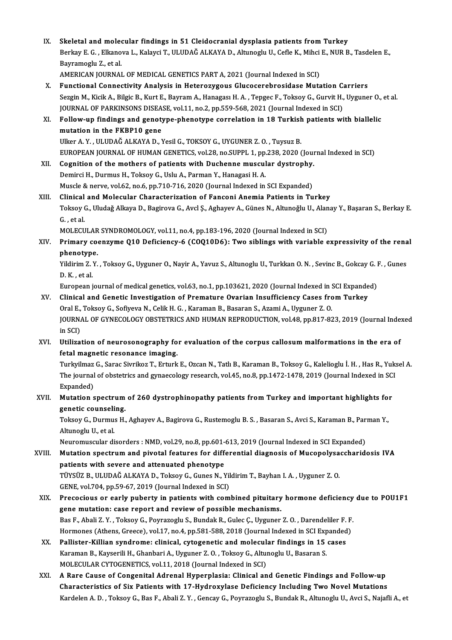- IX. Skeletal and molecular findings in 51 Cleidocranial dysplasia patients from Turkey<br>Perlau E.C., Elianewa L. Kelevei T. III UDAČ ALKAVA D. Altuneglu II. Cefle K. Mihei E. NUP P Skeletal and molecular findings in 51 Cleidocranial dysplasia patients from Turkey<br>Berkay E. G. , Elkanova L., Kalayci T., ULUDAĞ ALKAYA D., Altunoglu U., Cefle K., Mihci E., NUR B., Tasdelen E<br>Beyramaglu Z. et el Skeletal and molee<br>Berkay E. G. , Elkano<br>Bayramoglu Z., et al.<br>AMERICAN JOUPNAL Berkay E. G. , Elkanova L., Kalayci T., ULUDAĞ ALKAYA D., Altunoglu U., Cefle K., Mihci<br>Bayramoglu Z., et al.<br>AMERICAN JOURNAL OF MEDICAL GENETICS PART A, 2021 (Journal Indexed in SCI)<br>Eunstianal Connestivity Analysis in H Bayramoglu Z., et al.<br>AMERICAN JOURNAL OF MEDICAL GENETICS PART A, 2021 (Journal Indexed in SCI)<br>X. Functional Connectivity Analysis in Heterozygous Glucocerebrosidase Mutation Carriers<br>Sergin M. Kicik A. Bilgie B. Kurt E.
- AMERICAN JOURNAL OF MEDICAL GENETICS PART A, 2021 (Journal Indexed in SCI)<br>Functional Connectivity Analysis in Heterozygous Glucocerebrosidase Mutation Carriers<br>Sezgin M., Kicik A., Bilgic B., Kurt E., Bayram A., Hanagası Functional Connectivity Analysis in Heterozygous Glucocerebrosidase Mutation C.<br>Sezgin M., Kicik A., Bilgic B., Kurt E., Bayram A., Hanagası H. A. , Tepgec F., Toksoy G., Gurvit H.,<br>JOURNAL OF PARKINSONS DISEASE, vol.11, n JOURNAL OF PARKINSONS DISEASE, vol.11, no.2, pp.559-568, 2021 (Journal Indexed in SCI)
- XI. Follow-up findings and genotype-phenotype correlation in 18 Turkish patients with biallelic mutation in the FKBP10 gene Follow-up findings and genotype-phenotype correlation in 18 Turkish<br>mutation in the FKBP10 gene<br>Ulker A.Y., ULUDAĞ ALKAYA D., Yesil G., TOKSOY G., UYGUNER Z. O., Tuysuz B.<br>EUROPEAN JOURNAL OF HUMAN CENETICS yol 29 no SUPBL
- EUROPEAN JOURNAL OF HUMAN GENETICS, vol.28, no.SUPPL 1, pp.238, 2020 (Journal Indexed in SCI)<br>XII. Cognition of the mothers of patients with Duchenne muscular dystrophy. Ulker A. Y., ULUDAĞ ALKAYA D., Yesil G., TOKSOY G., UYGUNER Z. O., Tuysuz B.<br>EUROPEAN JOURNAL OF HUMAN GENETICS, vol.28, no.SUPPL 1, pp.238, 2020 (Jour<br>XII. Cognition of the mothers of patients with Duchenne muscular dystr Demirci H., Durmus H., Toksoy G., Uslu A., Parman Y., Hanagasi H. A. Cognition of the mothers of patients with Duchenne muscular dystrophy.<br>Demirci H., Durmus H., Toksoy G., Uslu A., Parman Y., Hanagasi H. A.<br>Muscle & nerve, vol.62, no.6, pp.710-716, 2020 (Journal Indexed in SCI Expanded)<br>C Demirci H., Durmus H., Toksoy G., Uslu A., Parman Y., Hanagasi H. A.<br>Muscle & nerve, vol.62, no.6, pp.710-716, 2020 (Journal Indexed in SCI Expanded)<br>XIII. Clinical and Molecular Characterization of Fanconi Anemia Patients
- Muscle & nerve, vol.62, no.6, pp.710-716, 2020 (Journal Indexed in SCI Expanded)<br>Clinical and Molecular Characterization of Fanconi Anemia Patients in Turkey<br>Toksoy G., Uludağ Alkaya D., Bagirova G., Avcl Ş., Aghayev A., G Clinical and Molecular Characterization of Fanconi Anemia Patients in Turkey<br>Toksoy G., Uludağ Alkaya D., Bagirova G., Avcl Ş., Aghayev A., Günes N., Altunoğlu U., Alana<br>G., et al.<br>MOLECULAR SYNDROMOLOGY, vol.11, no.4, pp. Toksoy G., Uludağ Alkaya D., Bagirova G., Avcl Ş., Aghayev A., Günes N., Altunoğlu U., Alan<br>G. , et al.<br>MOLECULAR SYNDROMOLOGY, vol.11, no.4, pp.183-196, 2020 (Journal Indexed in SCI)<br>Primary seorgyma Q10 Defisiongy 6 (CQQ
- G. , et al.<br>MOLECULAR SYNDROMOLOGY, vol.11, no.4, pp.183-196, 2020 (Journal Indexed in SCI)<br>XIV. Primary coenzyme Q10 Deficiency-6 (COQ10D6): Two siblings with variable expressivity of the renal<br>nhanatune MOLECULAR<br><mark>Primary co</mark><br>phenotype.<br><sup>Vildinim 7 V</sup> Primary coenzyme Q10 Deficiency-6 (COQ10D6): Two siblings with variable expressivity of the rena<br>phenotype.<br>Yildirim Z.Y. , Toksoy G., Uyguner O., Nayir A., Yavuz S., Altunoglu U., Turkkan O. N. , Sevinc B., Gokcay G. F. ,

phenotype.<br>Yildirim Z. Y. , Toksoy G., Uyguner O., Nayir A., Yavuz S., Altunoglu U., Turkkan O. N. , Sevinc B., Gokcay G. F. , Gunes<br>D. K. , et al. Yildirim Z. Y. , Toksoy G., Uyguner O., Nayir A., Yavuz S., Altunoglu U., Turkkan O. N. , Sevinc B., Gokcay G. I<br>D. K. , et al.<br>European journal of medical genetics, vol.63, no.1, pp.103621, 2020 (Journal Indexed in SCI Ex

- D. K. , et al.<br>European journal of medical genetics, vol.63, no.1, pp.103621, 2020 (Journal Indexed in SCI Expande<br>XV. Clinical and Genetic Investigation of Premature Ovarian Insufficiency Cases from Turkey<br>Oral E. Telseu European journal of medical genetics, vol.63, no.1, pp.103621, 2020 (Journal Indexed in !<br>Clinical and Genetic Investigation of Premature Ovarian Insufficiency Cases fro<br>Oral E., Toksoy G., Sofiyeva N., Celik H. G. , Karam Clinical and Genetic Investigation of Premature Ovarian Insufficiency Cases from Turkey<br>Oral E., Toksoy G., Sofiyeva N., Celik H. G. , Karaman B., Basaran S., Azami A., Uyguner Z. O.<br>JOURNAL OF GYNECOLOGY OBSTETRICS AND HU Oral E.,<br>JOURNA<br>in SCI)<br>H<del>i</del>lisci JOURNAL OF GYNECOLOGY OBSTETRICS AND HUMAN REPRODUCTION, vol.48, pp.817-823, 2019 (Journal Inder in SCI)<br>in SCI)<br>XVI. Utilization of neurosonography for evaluation of the corpus callosum malformations in the era of<br>fotel m
- in SCI)<br>Utilization of neurosonography for evaluation of the corpus callosum malformations in the era of<br>fetal magnetic resonance imaging. Utilization of neurosonography for evaluation of the corpus callosum malformations in the era of<br>fetal magnetic resonance imaging.<br>Turkyilmaz G., Sarac Sivrikoz T., Erturk E., Ozcan N., Tatlı B., Karaman B., Toksoy G., Kal

fetal magnetic resonance imaging.<br>Turkyilmaz G., Sarac Sivrikoz T., Erturk E., Ozcan N., Tatlı B., Karaman B., Toksoy G., Kalelioglu İ. H. , Has R., Yuk:<br>The journal of obstetrics and gynaecology research, vol.45, no.8, pp Turkyilmaz<br>The journal<br>Expanded)<br>Mutation The journal of obstetrics and gynaecology research, vol.45, no.8, pp.1472-1478, 2019 (Journal Indexed in SC<br>Expanded)<br>XVII. Mutation spectrum of 260 dystrophinopathy patients from Turkey and important highlights for<br>Conoti

## Expanded)<br>Mutation spectrum<br>genetic counseling.<br>Teksey C. Dunmus H Mutation spectrum of 260 dystrophinopathy patients from Turkey and important highlights for<br>genetic counseling.<br>Toksoy G., Durmus H., Aghayev A., Bagirova G., Rustemoglu B. S. , Basaran S., Avci S., Karaman B., Parman Y.,<br>

genetic counseling.<br>Toksoy G., Durmus H., Aghayev A., Bagirova G., Rustemoglu B. S. , Basaran S., Avci S., Karaman B., Parman Y.,<br>Altunoglu U., et al. Toksoy G., Durmus H., Aghayev A., Bagirova G., Rustemoglu B. S. , Basaran S., Avci S., Karaman B., Par<br>Altunoglu U., et al.<br>Neuromuscular disorders : NMD, vol.29, no.8, pp.601-613, 2019 (Journal Indexed in SCI Expanded)<br>Mu

## Altunoglu U., et al.<br>Neuromuscular disorders : NMD, vol.29, no.8, pp.601-613, 2019 (Journal Indexed in SCI Expanded)<br>XVIII. Mutation spectrum and pivotal features for differential diagnosis of Mucopolysaccharidosis IVA<br>nat Neuromuscular disorders : NMD, vol.29, no.8, pp.601-<br>Mutation spectrum and pivotal features for different<br>patients with severe and attenuated phenotype<br>Tiveüz P-ULUDAČ ALKAVA D-Teksev G-Gunes N-N Mutation spectrum and pivotal features for differential diagnosis of Mucopolysa<br>patients with severe and attenuated phenotype<br>TÜYSÜZ B., ULUDAĞ ALKAYA D., Toksoy G., Gunes N., Yildirim T., Bayhan I. A. , Uyguner Z. O.<br>CENE patients with severe and attenuated phenotype<br>TÜYSÜZ B., ULUDAĞ ALKAYA D., Toksoy G., Gunes N., Yildirim T., Bayhan I. A. , Uyguner Z. O.<br>GENE, vol.704, pp.59-67, 2019 (Journal Indexed in SCI)

- TÜYSÜZ B., ULUDAĞ ALKAYA D., Toksoy G., Gunes N., Yildirim T., Bayhan I. A. , Uyguner Z. O.<br>GENE, vol.704, pp.59-67, 2019 (Journal Indexed in SCI)<br>XIX. Precocious or early puberty in patients with combined pituitary hormon GENE, vol.704, pp.59-67, 2019 (Journal Indexed in SCI)<br>Precocious or early puberty in patients with combined pituitary<br>gene mutation: case report and review of possible mechanisms.<br>Pes F. Abeli 7, Y., Telrev C. Bourgrogly Precocious or early puberty in patients with combined pituitary hormone deficiency<br>gene mutation: case report and review of possible mechanisms.<br>Bas F., Abali Z.Y., Toksoy G., Poyrazoglu S., Bundak R., Gulec Ç., Uyguner Z. gene mutation: case report and review of possible mechanisms.<br>Bas F., Abali Z. Y. , Toksoy G., Poyrazoglu S., Bundak R., Gulec C., Uyguner Z. O. , Darendeliler F. F. Hormones (Athens, Greece), vol.17, no.4, pp.581-588, 2018 (Journal Indexed in SCI Expanded)
- XX. Pallister-Killian syndrome: clinical, cytogenetic and molecular findings in 15 cases<br>Karaman B., Kayserili H., Ghanbari A., Uyguner Z. O., Toksoy G., Altunoglu U., Basaran S. MOLECULAR CYTOGENETICS, vol.11, 2018 (Journal Indexed in SCI)
- XXI. A Rare Cause of Congenital Adrenal Hyperplasia: Clinical and Genetic Findings and Follow-up Characteristics of Six Patients with 17-Hydroxylase Deficiency Including Two Novel Mutations Kardelen A.D., Toksoy G., Bas F., Abali Z.Y., Gencay G., Poyrazoglu S., Bundak R., Altunoglu U., Avci S., Najafli A., et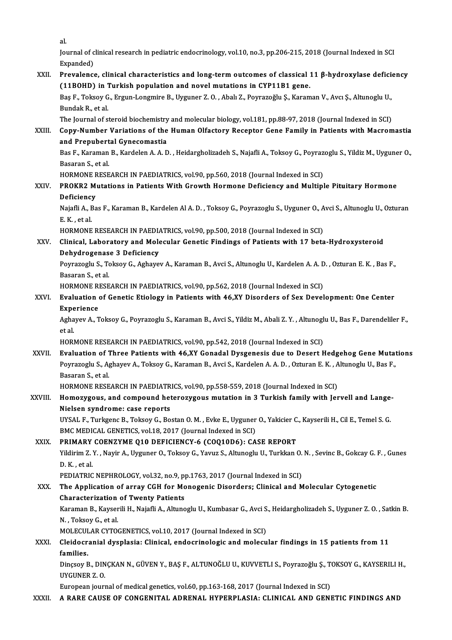al.<br>Ior

al.<br>Journal of clinical research in pediatric endocrinology, vol.10, no.3, pp.206-215, 2018 (Journal Indexed in SCI<br>Evnanded) al.<br>Journal of c<br>Expanded)<br>Provalance Sournal of clinical research in pediatric endocrinology, vol.10, no.3, pp.206-215, 2018 (Journal Indexed in SCI<br>Expanded)<br>XXII. Prevalence, clinical characteristics and long-term outcomes of classical 11 β-hydroxylase def

Expanded)<br>Prevalence, clinical characteristics and long-term outcomes of classical :<br>(11BOHD) in Turkish population and novel mutations in CYP11B1 gene.<br>Pes F. Telsev G. Frgun Longwire B. Uvguner 7.0, Abel: 7. Peyrageğlu S Prevalence, clinical characteristics and long-term outcomes of classical 11 β-hydroxylase deficionel (11BOHD) in Turkish population and novel mutations in CYP11B1 gene.<br>Baş F., Toksoy G., Ergun-Longmire B., Uyguner Z. O. (11BOHD) in Turkish population and novel mutations in CYP11B1 gene.<br>Baş F., Toksoy G., Ergun-Longmire B., Uyguner Z. O. , Abalı Z., Poyrazoğlu Ş., Karam<br>Bundak R., et al. Bas F., Toksoy G., Ergun-Longmire B., Uyguner Z. O., Abalı Z., Poyrazoğlu Ş., Karaman V., Avcı Ş., Altunoglu U.,

The Journal of steroid biochemistry and molecular biology, vol.181, pp.88-97, 2018 (Journal Indexed in SCI)

XXIII. Copy-Number Variations of the Human Olfactory Receptor Gene Family in Patients with Macromastia<br>and Prepubertal Gynecomastia Copy-Number Variations of the Human Olfactory Receptor Gene Family in Patients with Macromastia<br>and Prepubertal Gynecomastia<br>Bas F., Karaman B., Kardelen A. A. D. , Heidargholizadeh S., Najafli A., Toksoy G., Poyrazoglu S.

a<mark>nd Prepubert</mark><br>Bas F., Karaman<br>Basaran S., et al.<br>HODMONE BESE Bas F., Karaman B., Kardelen A. A. D. , Heidargholizadeh S., Najafli A., Toksoy G., Poyraz<br>Basaran S., et al.<br>HORMONE RESEARCH IN PAEDIATRICS, vol.90, pp.560, 2018 (Journal Indexed in SCI)<br>PROKR2 Mutations in Batiants With

## Basaran S., et al.<br>HORMONE RESEARCH IN PAEDIATRICS, vol.90, pp.560, 2018 (Journal Indexed in SCI)<br>XXIV. PROKR2 Mutations in Patients With Growth Hormone Deficiency and Multiple Pituitary Hormone<br>Deficiency HORMONE F<br>PROKR2 Mi<br>Deficiency<br><sup>Noiafli</sup> A. Po PROKR2 Mutations in Patients With Growth Hormone Deficiency and Multiple Pituitary Hormone<br>Deficiency<br>Najafli A., Bas F., Karaman B., Kardelen Al A. D. , Toksoy G., Poyrazoglu S., Uyguner O., Avci S., Altunoglu U., Ozturan

Deficiency<br>Najafli A., E<br>E. K. , et al.<br>HOPMONE Najafli A., Bas F., Karaman B., Kardelen Al A. D. , Toksoy G., Poyrazoglu S., Uyguner O., A<br>E. K. , et al.<br>HORMONE RESEARCH IN PAEDIATRICS, vol.90, pp.500, 2018 (Journal Indexed in SCI)<br>Clinical Jaboratory and Mologular Co

## E. K. , et al.<br>HORMONE RESEARCH IN PAEDIATRICS, vol.90, pp.500, 2018 (Journal Indexed in SCI)<br>XXV. Clinical, Laboratory and Molecular Genetic Findings of Patients with 17 beta-Hydroxysteroid<br>Rebydrogeneses 3 Deficiency HORMONE RESEARCH IN PAEDIA<br>Clinical, Laboratory and Mole<br>Dehydrogenase 3 Deficiency<br>Peyranochy S. Talisey C. Asbaye Clinical, Laboratory and Molecular Genetic Findings of Patients with 17 beta-Hydroxysteroid<br>Dehydrogenase 3 Deficiency<br>Poyrazoglu S., Toksoy G., Aghayev A., Karaman B., Avci S., Altunoglu U., Kardelen A. A. D. , Ozturan E.

Dehydrogenase 3 Deficiency<br>Poyrazoglu S., Toksoy G., Aghayev A., Karaman B., Avci S., Altunoglu U., Kardelen A. A. D. , Ozturan E. K. , Bas F.,<br>Basaran S., et al. Poyrazoglu S., Toksoy G., Aghayev A., Karaman B., Avci S., Altunoglu U., Kardelen A. A. D<br>Basaran S., et al.<br>HORMONE RESEARCH IN PAEDIATRICS, vol.90, pp.562, 2018 (Journal Indexed in SCI)<br>Evaluation of Canatic Etiology in

## Basaran S., et al.<br>HORMONE RESEARCH IN PAEDIATRICS, vol.90, pp.562, 2018 (Journal Indexed in SCI)<br>XXVI. Evaluation of Genetic Etiology in Patients with 46,XY Disorders of Sex Development: One Center<br>Experience HORMONE R<br>Evaluation<br>Experience<br>Aghayov A Evaluation of Genetic Etiology in Patients with 46,XY Disorders of Sex Development: One Center<br>Experience<br>Aghayev A., Toksoy G., Poyrazoglu S., Karaman B., Avci S., Yildiz M., Abali Z. Y. , Altunoglu U., Bas F., Darendelil

Expe<br>Agha<br>et al.<br>HOPI Aghayev A., Toksoy G., Poyrazoglu S., Karaman B., Avci S., Yildiz M., Abali Z. Y. , Altunoglet al.<br>et al.<br>HORMONE RESEARCH IN PAEDIATRICS, vol.90, pp.542, 2018 (Journal Indexed in SCI)<br>Evaluation of Three Bationts with 46

et al.<br>HORMONE RESEARCH IN PAEDIATRICS, vol.90, pp.542, 2018 (Journal Indexed in SCI)<br>XXVII. Evaluation of Three Patients with 46,XY Gonadal Dysgenesis due to Desert Hedgehog Gene Mutations<br>Reymancely S. Ashayev A. Telsey HORMONE RESEARCH IN PAEDIATRICS, vol.90, pp.542, 2018 (Journal Indexed in SCI)<br><mark>Evaluation of Three Patients with 46,XY Gonadal Dysgenesis due to Desert Hedgehog Gene Mutat</mark><br>Poyrazoglu S., Aghayev A., Toksoy G., Karaman B. E<mark>valuation of 1</mark><br>Poyrazoglu S., A<sub>g</sub><br>Basaran S., et al.<br>HORMONE BESE Poyrazoglu S., Aghayev A., Toksoy G., Karaman B., Avci S., Kardelen A. A. D. , Ozturan E. K. , A<br>Basaran S., et al.<br>HORMONE RESEARCH IN PAEDIATRICS, vol.90, pp.558-559, 2018 (Journal Indexed in SCI)<br>Homogygous, and compoun

## Basaran S., et al.<br>HORMONE RESEARCH IN PAEDIATRICS, vol.90, pp.558-559, 2018 (Journal Indexed in SCI)<br>XXVIII. Homozygous, and compound heterozygous mutation in 3 Turkish family with Jervell and Lange-<br>Nielson syndrome: HORMONE RESEARCH IN PAEDIATR<br>Homozygous, and compound het<br>Nielsen syndrome: case reports Homozygous, and compound heterozygous mutation in 3 Turkish family with Jervell and Lange<br>Nielsen syndrome: case reports<br>UYSAL F., Turkgenc B., Toksoy G., Bostan O. M. , Evke E., Uyguner O., Yakicier C., Kayserili H., Cil

Nielsen syndrome: case reports<br>UYSAL F., Turkgenc B., Toksoy G., Bostan O. M. , Evke E., Uyguner<br>BMC MEDICAL GENETICS, vol.18, 2017 (Journal Indexed in SCI)<br>PRIMARY COENZYME 010 DEEICIENCY 6 (COO10D6); CA UYSAL F., Turkgenc B., Toksoy G., Bostan O. M., Evke E., Uyguner O., Yakicier C<br>BMC MEDICAL GENETICS, vol.18, 2017 (Journal Indexed in SCI)<br>XXIX. PRIMARY COENZYME Q10 DEFICIENCY-6 (COQ10D6): CASE REPORT<br>Vildinim Z. V. Navi

## BMC MEDICAL GENETICS, vol.18, 2017 (Journal Indexed in SCI)<br>PRIMARY COENZYME Q10 DEFICIENCY-6 (COQ10D6): CASE REPORT<br>Yildirim Z. Y. , Nayir A., Uyguner O., Toksoy G., Yavuz S., Altunoglu U., Turkkan O. N. , Sevinc B., Gokc PRIMARY<br>Yildirim Z.<br>D. K. , et al.<br>PEDIATPIC Yildirim Z. Y. , Nayir A., Uyguner O., Toksoy G., Yavuz S., Altunoglu U., Turkkan O.<br>D. K. , et al.<br>PEDIATRIC NEPHROLOGY, vol.32, no.9, pp.1763, 2017 (Journal Indexed in SCI)<br>The Annligation of array CCH for Monaganic Dise

## D. K. , et al.<br>PEDIATRIC NEPHROLOGY, vol.32, no.9, pp.1763, 2017 (Journal Indexed in SCI)<br>XXX. The Application of array CGH for Monogenic Disorders; Clinical and Molecular Cytogenetic<br>Characterisation of Twonty Patients PEDIATRIC NEPHROLOGY, vol.32, no.9, pp<br>The Application of array CGH for Mc<br>Characterization of Twenty Patients<br>Karaman B. Kawasili H. Naiafli A. Altung The Application of array CGH for Monogenic Disorders; Clinical and Molecular Cytogenetic<br>Characterization of Twenty Patients<br>Karaman B., Kayserili H., Najafli A., Altunoglu U., Kumbasar G., Avci S., Heidargholizadeh S., Uy

Characterization<br>Karaman B., Kayser<br>N. , Toksoy G., et al.<br>MOLECULAP CYTO Karaman B., Kayserili H., Najafli A., Altunoglu U., Kumbasar G., Avci S<br>N. , Toksoy G., et al.<br>MOLECULAR CYTOGENETICS, vol.10, 2017 (Journal Indexed in SCI)<br>Claidesranial dysplasia: Clinisal, andesrinalasis and malesu

MOLECULAR CYTOGENETICS, vol.10, 2017 (Journal Indexed in SCI)

## N. , Toksoy G., et al.<br>MOLECULAR CYTOGENETICS, vol.10, 2017 (Journal Indexed in SCI)<br>XXXI. Cleidocranial dysplasia: Clinical, endocrinologic and molecular findings in 15 patients from 11<br>families. Cleidocranial dysplasia: Clinical, endocrinologic and molecular findings in 15 patients from 11<br>families.<br>Dinçsoy B., DINÇKAN N., GÜVEN Y., BAŞ F., ALTUNOĞLU U., KUVVETLI S., Poyrazoğlu Ş., TOKSOY G., KAYSERILI H.,<br>UVCUNER

families.<br>Dinçsoy B., DIN<br>UYGUNER Z. O.<br>European journ Dinçsoy B., DINÇKAN N., GÜVEN Y., BAŞ F., ALTUNOĞLU U., KUVVETLI S., Poyrazoğlu Ş., T<br>UYGUNER Z. O.<br>European journal of medical genetics, vol.60, pp.163-168, 2017 (Journal Indexed in SCI)<br>A BARE CAUSE OF CONCENITAL ADRENAL UYGUNER Z. O.<br>European journal of medical genetics, vol.60, pp.163-168, 2017 (Journal Indexed in SCI)<br>XXXII. A RARE CAUSE OF CONGENITAL ADRENAL HYPERPLASIA: CLINICAL AND GENETIC FINDINGS AND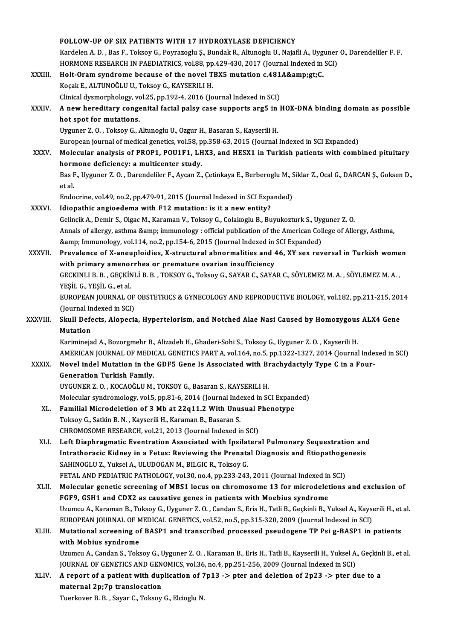|              | FOLLOW-UP OF SIX PATIENTS WITH 17 HYDROXYLASE DEFICIENCY                                                                           |
|--------------|------------------------------------------------------------------------------------------------------------------------------------|
|              | Kardelen A. D., Bas F., Toksoy G., Poyrazoglu Ş., Bundak R., Altunoglu U., Najafli A., Uyguner O., Darendeliler F. F.              |
|              | HORMONE RESEARCH IN PAEDIATRICS, vol.88, pp.429-430, 2017 (Journal Indexed in SCI)                                                 |
| XXXIII.      | Holt-Oram syndrome because of the novel TBX5 mutation c.481A>C.                                                                    |
|              | Koçak E., ALTUNOĞLU U., Toksoy G., KAYSERILI H.                                                                                    |
|              | Clinical dysmorphology, vol.25, pp.192-4, 2016 (Journal Indexed in SCI)                                                            |
| XXXIV.       | A new hereditary congenital facial palsy case supports arg5 in HOX-DNA binding domain as possible                                  |
|              | hot spot for mutations.                                                                                                            |
|              | Uyguner Z.O., Toksoy G., Altunoglu U., Ozgur H., Basaran S., Kayserili H.                                                          |
|              | European journal of medical genetics, vol.58, pp.358-63, 2015 (Journal Indexed in SCI Expanded)                                    |
| <b>XXXV</b>  | Molecular analysis of PROP1, POU1F1, LHX3, and HESX1 in Turkish patients with combined pituitary                                   |
|              | hormone deficiency: a multicenter study.                                                                                           |
|              | Bas F., Uyguner Z. O., Darendeliler F., Aycan Z., Çetinkaya E., Berberoglu M., Siklar Z., Ocal G., DARCAN Ş., Goksen D.,<br>et al. |
|              | Endocrine, vol.49, no.2, pp.479-91, 2015 (Journal Indexed in SCI Expanded)                                                         |
| <b>XXXVI</b> | Idiopathic angioedema with F12 mutation: is it a new entity?                                                                       |
|              | Gelincik A., Demir S., Olgac M., Karaman V., Toksoy G., Colakoglu B., Buyukozturk S., Uyguner Z. O.                                |
|              | Annals of allergy, asthma & immunology : official publication of the American College of Allergy, Asthma,                          |
|              | & Immunology, vol.114, no.2, pp.154-6, 2015 (Journal Indexed in SCI Expanded)                                                      |
| XXXVII.      | Prevalence of X-aneuploidies, X-structural abnormalities and 46, XY sex reversal in Turkish women                                  |
|              | with primary amenorrhea or premature ovarian insufficiency                                                                         |
|              | GECKINLI B. B., GEÇKİNLİ B. B., TOKSOY G., Toksoy G., SAYAR C., SAYAR C., SÖYLEMEZ M. A., SÖYLEMEZ M. A.,                          |
|              | YEŞİL G, YEŞİL G, et al.                                                                                                           |
|              | EUROPEAN JOURNAL OF OBSTETRICS & GYNECOLOGY AND REPRODUCTIVE BIOLOGY, vol.182, pp.211-215, 2014                                    |
|              | (Journal Indexed in SCI)                                                                                                           |
| XXXVIII.     | Skull Defects, Alopecia, Hypertelorism, and Notched Alae Nasi Caused by Homozygous ALX4 Gene                                       |
|              | <b>Mutation</b>                                                                                                                    |
|              | Kariminejad A., Bozorgmehr B., Alizadeh H., Ghaderi-Sohi S., Toksoy G., Uyguner Z. O., Kayserili H.                                |
|              | AMERICAN JOURNAL OF MEDICAL GENETICS PART A, vol.164, no.5, pp.1322-1327, 2014 (Journal Indexed in SCI)                            |
| <b>XXXIX</b> | Novel indel Mutation in the GDF5 Gene Is Associated with Brachydactyly Type C in a Four-<br><b>Generation Turkish Family.</b>      |
|              | UYGUNER Z. O., KOCAOĞLU M., TOKSOY G., Basaran S., KAYSERILI H.                                                                    |
|              | Molecular syndromology, vol.5, pp.81-6, 2014 (Journal Indexed in SCI Expanded)                                                     |
| XL.          | Familial Microdeletion of 3 Mb at 22q11.2 With Unusual Phenotype                                                                   |
|              | Toksoy G., Satkin B. N., Kayserili H., Karaman B., Basaran S.                                                                      |
|              | CHROMOSOME RESEARCH, vol.21, 2013 (Journal Indexed in SCI)                                                                         |
| XLI.         | Left Diaphragmatic Eventration Associated with Ipsilateral Pulmonary Sequestration and                                             |
|              | Intrathoracic Kidney in a Fetus: Reviewing the Prenatal Diagnosis and Etiopathogenesis                                             |
|              | SAHINOGLU Z., Yuksel A., ULUDOGAN M., BILGIC R., Toksoy G.                                                                         |
|              | FETAL AND PEDIATRIC PATHOLOGY, vol.30, no.4, pp.233-243, 2011 (Journal Indexed in SCI)                                             |
| XLII.        | Molecular genetic screening of MBS1 locus on chromosome 13 for microdeletions and exclusion of                                     |
|              | FGF9, GSH1 and CDX2 as causative genes in patients with Moebius syndrome                                                           |
|              | Uzumcu A., Karaman B., Toksoy G., Uyguner Z. O., Candan S., Eris H., Tatli B., Geçkinli B., Yuksel A., Kayserili H., et al.        |
|              | EUROPEAN JOURNAL OF MEDICAL GENETICS, vol.52, no.5, pp.315-320, 2009 (Journal Indexed in SCI)                                      |
| XLIII.       | Mutational screening of BASP1 and transcribed processed pseudogene TP Psi g-BASP1 in patients                                      |
|              | with Mobius syndrome                                                                                                               |
|              | Uzumcu A., Candan S., Toksoy G., Uyguner Z. O., Karaman B., Eris H., Tatli B., Kayserili H., Yuksel A., Geçkinli B., et al.        |
|              | JOURNAL OF GENETICS AND GENOMICS, vol.36, no.4, pp.251-256, 2009 (Journal Indexed in SCI)                                          |
| XLIV.        | A report of a patient with duplication of 7p13 -> pter and deletion of 2p23 -> pter due to a                                       |
|              | maternal 2p;7p translocation                                                                                                       |
|              | Tuerkover B. B., Sayar C., Toksoy G., Elcioglu N.                                                                                  |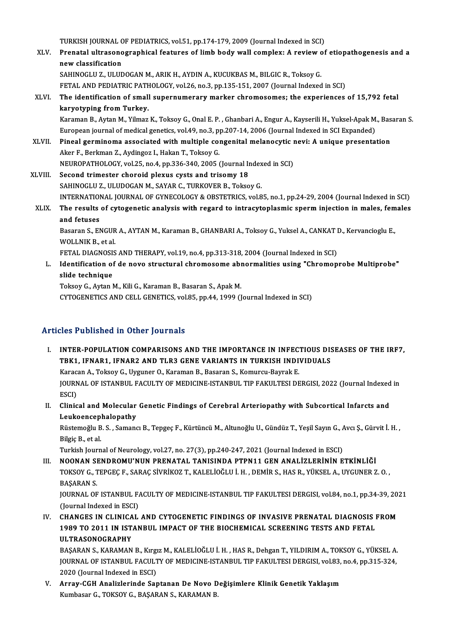TURKISH JOURNAL OF PEDIATRICS, vol.51, pp.174-179, 2009 (Journal Indexed in SCI)<br>Prenatel ultresenegraphical features of limb hody well semploy: A review of

XLV. Prenatal ultrasonographical features of limb body wall complex: A review of etiopathogenesis and a<br>new classification TURKISH JOURNAL C<br>Prenatal ultrasono<br>new classification<br>SAHINOCLU 7 - ULUE

SAHINOGLU Z., ULUDOGAN M., ARIK H., AYDIN A., KUCUKBAS M., BILGIC R., Toksoy G. FETAL AND PEDIATRIC PATHOLOGY, vol.26, no.3, pp.135-151, 2007 (Journal Indexed in SCI)

XLVI. The identification of smal supernumerarymarker chromosomes; the experiences of 15,792 fetal karyotyping fromTurkey.

Karaman B., Aytan M., Yilmaz K., Toksoy G., Onal E. P., Ghanbari A., Engur A., Kayserili H., Yuksel-Apak M., Basaran S. karyotyping from Turkey.<br>Karaman B., Aytan M., Yilmaz K., Toksoy G., Onal E. P. , Ghanbari A., Engur A., Kayserili H., Yuksel-Apak M<br>European journal of medical genetics, vol.49, no.3, pp.207-14, 2006 (Journal Indexed in S Karaman B., Aytan M., Yilmaz K., Toksoy G., Onal E. P. , Ghanbari A., Engur A., Kayserili H., Yuksel-Apak M., Bas<br>European journal of medical genetics, vol.49, no.3, pp.207-14, 2006 (Journal Indexed in SCI Expanded)<br>XLVII.

- European journal of medical genetics, vol.49, no.3, p<br>Pineal germinoma associated with multiple con<br>Aker F., Berkman Z., Aydingoz I., Hakan T., Toksoy G.<br>NEUPOPATHOLOCY vol.35, no.4, nn.336,340,3005 ( Pineal germinoma associated with multiple congenital melanocytic reflection and the F., Berkman Z., Aydingoz I., Hakan T., Toksoy G.<br>NEUROPATHOLOGY, vol.25, no.4, pp.336-340, 2005 (Journal Indexed in SCI)<br>Second trimester Aker F., Berkman Z., Aydingoz I., Hakan T., Toksoy G.<br>NEUROPATHOLOGY, vol.25, no.4, pp.336-340, 2005 (Journal Indexed in SCI)<br>XLVIII. Second trimester choroid plexus cysts and trisomy 18
- SAHINOGLU Z., ULUDOGAN M., SAYAR C., TURKOVER B., Toksoy G. Second trimester choroid plexus cysts and trisomy 18<br>SAHINOGLU Z., ULUDOGAN M., SAYAR C., TURKOVER B., Toksoy G.<br>INTERNATIONAL JOURNAL OF GYNECOLOGY & OBSTETRICS, vol.85, no.1, pp.24-29, 2004 (Journal Indexed in SCI)<br>The r SAHINOGLU Z., ULUDOGAN M., SAYAR C., TURKOVER B., Toksoy G.<br>INTERNATIONAL JOURNAL OF GYNECOLOGY & OBSTETRICS, vol.85, no.1, pp.24-29, 2004 (Journal Indexed in SCI)<br>XLIX. The results of cytogenetic analysis with regard to i INTERNATION<br>The results<br>and fetuses

The results of cytogenetic analysis with regard to intracytoplasmic sperm injection in males, females<br>and fetuses<br>Basaran S., ENGUR A., AYTAN M., Karaman B., GHANBARI A., Toksoy G., Yuksel A., CANKAT D., Kervancioglu E.,<br>W Basaran S., ENGUR A., AYTAN M., Karaman B., GHANBARI A., Toksoy G., Yuksel A., CANKAT D., Kervancioglu E., Basaran S., ENGUR A., AYTAN M., Karaman B., GHANBARI A., Toksoy G., Yuksel A., CANKAT I<br>WOLLNIK B., et al.<br>FETAL DIAGNOSIS AND THERAPY, vol.19, no.4, pp.313-318, 2004 (Journal Indexed in SCI)<br>Identification of de nove atma

L. Identification of de novo structural chromosome abnormalities using "Chromoprobe Multiprobe"<br>slide technique FETAL DIAGNOSI:<br>Identification of<br>slide technique<br>Teksey C. Aytan l

Toksoy G., Aytan M., Kili G., Karaman B., Basaran S., Apak M.

CYTOGENETICS AND CELL GENETICS, vol.85, pp.44, 1999 (Journal Indexed in SCI)

## Articles Published in Other Journals

I. INTER-POPULATION COMPARISONS AND THE IMPORTANCE IN INFECTIOUS DISEASES OF THE IRF7, THE TRIMING IN OUTER JOURNALS<br>INTER-POPULATION COMPARISONS AND THE IMPORTANCE IN INFECTIOUS DIST<br>TBK1, IFNAR1, IFNAR2 AND TLR3 GENE VARIANTS IN TURKISH INDIVIDUALS<br>Karagan A. Takagu G. Uygunor O. Karaman B. Bagaran S. Kamu INTER-POPULATION COMPARISONS AND THE IMPORTANCE IN INFECT<br>TBK1, IFNAR1, IFNAR2 AND TLR3 GENE VARIANTS IN TURKISH INDI<br>Karacan A., Toksoy G., Uyguner O., Karaman B., Basaran S., Komurcu-Bayrak E.<br>JOUPNAL OF ISTANPULEACULTY TBK1, IFNAR1, IFNAR2 AND TLR3 GENE VARIANTS IN TURKISH INDIVIDUALS<br>Karacan A., Toksoy G., Uyguner O., Karaman B., Basaran S., Komurcu-Bayrak E.<br>JOURNAL OF ISTANBUL FACULTY OF MEDICINE-ISTANBUL TIP FAKULTESI DERGISI, 2022 (

Karac<br>JOURN<br>ESCI)<br>Clinia JOURNAL OF ISTANBUL FACULTY OF MEDICINE-ISTANBUL TIP FAKULTESI DERGISI, 2022 (Journal Indexed<br>ESCI)<br>II. Clinical and Molecular Genetic Findings of Cerebral Arteriopathy with Subcortical Infarcts and<br>Loukeensenbelenathy

ESCI)<br>II. Clinical and Molecular Genetic Findings of Cerebral Arteriopathy with Subcortical Infarcts and<br>Leukoencephalopathy Clinical and Molecular Genetic Findings of Cerebral Arteriopathy with Subcortical Infarcts and<br>Leukoencephalopathy<br>Rüstemoğlu B. S. , Samancı B., Tepgeç F., Kürtüncü M., Altunoğlu U., Gündüz T., Yeşil Sayın G., Avcı Ş., Gü

Leukoencep<br>Rüstemoğlu B<br>Bilgiç B., et al.<br>Turkish Journ Rüstemoğlu B. S. , Samancı B., Tepgeç F., Kürtüncü M., Altunoğlu U., Gündüz T., Yeşil Sayın G., *A*<br>Bilgiç B., et al.<br>Turkish Journal of Neurology, vol.27, no. 27(3), pp.240-247, 2021 (Journal Indexed in ESCI)<br>NOONAN SENDR

Bilgiç B., et al.<br>Turkish Journal of Neurology, vol.27, no. 27(3), pp.240-247, 2021 (Journal Indexed in ESCI)<br>III. NOONAN SENDROMU'NUN PRENATAL TANISINDA PTPN11 GEN ANALİZLERİNİN ETKİNLİĞİ Turkish Journal of Neurology, vol.27, no. 27(3), pp.240-247, 2021 (Journal Indexed in ESCI)<br>NOONAN SENDROMU'NUN PRENATAL TANISINDA PTPN11 GEN ANALİZLERİNİN ETKİNLİĞİ<br>TOKSOY G., TEPGEÇ F., SARAÇ SİVRİKOZ T., KALELİOĞLU İ. H NOONAN SI<br>TOKSOY G., T<br>BAŞARAN S.<br>JOUPNAL OF TOKSOY G., TEPGEÇ F., SARAÇ SİVRİKOZ T., KALELİOĞLU İ. H. , DEMİR S., HAS R., YÜKSEL A., UYGUNER Z. O. ,<br>BAŞARAN S.<br>JOURNAL OF ISTANBUL FACULTY OF MEDICINE-ISTANBUL TIP FAKULTESI DERGISI, vol.84, no.1, pp.34-39, 2021<br>(Jaur

BAŞARAN S.<br>JOURNAL OF ISTANBUL F.<br>(Journal Indexed in ESCI)<br>CHANGES IN CLINICAL JOURNAL OF ISTANBUL FACULTY OF MEDICINE-ISTANBUL TIP FAKULTESI DERGISI, vol.84, no.1, pp.34-39, 20.<br>(Journal Indexed in ESCI)<br>IV. CHANGES IN CLINICAL AND CYTOGENETIC FINDINGS OF INVASIVE PRENATAL DIAGNOSIS FROM

(Journal Indexed in ESCI)<br>CHANGES IN CLINICAL AND CYTOGENETIC FINDINGS OF INVASIVE PRENATAL DIAGNOSIS |<br>1989 TO 2011 IN ISTANBUL IMPACT OF THE BIOCHEMICAL SCREENING TESTS AND FETAL<br>III TRASONOCRAPHY CHANGES IN CLINICA<br>1989 TO 2011 IN IST.<br>ULTRASONOGRAPHY<br>BASARAN S. KARAMAN 1989 TO 2011 IN ISTANBUL IMPACT OF THE BIOCHEMICAL SCREENING TESTS AND FETAL<br>ULTRASONOGRAPHY<br>BAŞARAN S., KARAMAN B., Kırgız M., KALELİOĞLU İ. H. , HAS R., Dehgan T., YILDIRIM A., TOKSOY G., YÜKSEL A.<br>JOUPMAL OF ISTANPUL FA

ULTRASONOGRAPHY<br>BAŞARAN S., KARAMAN B., Kırgız M., KALELİOĞLU İ. H. , HAS R., Dehgan T., YILDIRIM A., TOKSOY G., YÜKSEL A.<br>JOURNAL OF ISTANBUL FACULTY OF MEDICINE-ISTANBUL TIP FAKULTESI DERGISI, vol.83, no.4, pp.315-324,<br>2 BAŞARAN S., KARAMAN B., Kırgı<br>JOURNAL OF ISTANBUL FACULT<br>2020 (Journal Indexed in ESCI)<br>Annay CCH Analinlaninde Sar JOURNAL OF ISTANBUL FACULTY OF MEDICINE-ISTANBUL TIP FAKULTESI DERGISI, vol.83,<br>2020 (Journal Indexed in ESCI)<br>V. Array-CGH Analizlerinde Saptanan De Novo Değişimlere Klinik Genetik Yaklaşım<br>Kumbasar G. TOKSOV G. BASARAN S

2020 (Journal Indexed in ESCI)<br>V. Array-CGH Analizlerinde Saptanan De Novo Değişimlere Klinik Genetik Yaklaşım<br>Kumbasar G., TOKSOY G., BAŞARAN S., KARAMAN B.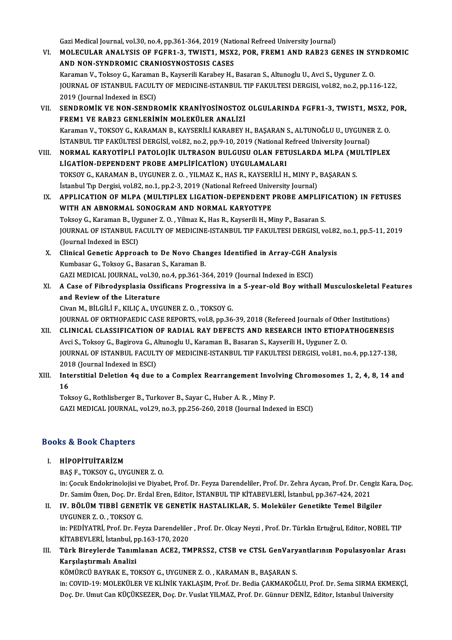Gazi Medical Journal, vol.30, no.4, pp.361-364, 2019 (National Refreed University Journal)

- Gazi Medical Journal, vol.30, no.4, pp.361-364, 2019 (National Refreed University Journal)<br>VI. MOLECULAR ANALYSIS OF FGFR1-3, TWIST1, MSX2, POR, FREM1 AND RAB23 GENES IN SYNDROMIC Gazi Medical Journal, vol.30, no.4, pp.361-364, 2019 (National MOLECULAR ANALYSIS OF FGFR1-3, TWIST1, MSX<br>AND NON-SYNDROMIC CRANIOSYNOSTOSIS CASES<br>Karaman V. Teksey C. Karaman B. Kaysarili Karabay H MOLECULAR ANALYSIS OF FGFR1-3, TWIST1, MSX2, POR, FREM1 AND RAB23 GENES IN SY<br>AND NON-SYNDROMIC CRANIOSYNOSTOSIS CASES<br>Karaman V., Toksoy G., Karaman B., Kayserili Karabey H., Basaran S., Altunoglu U., Avci S., Uyguner Z. AND NON-SYNDROMIC CRANIOSYNOSTOSIS CASES<br>Karaman V., Toksoy G., Karaman B., Kayserili Karabey H., Basaran S., Altunoglu U., Avci S., Uyguner Z. O.<br>JOURNAL OF ISTANBUL FACULTY OF MEDICINE-ISTANBUL TIP FAKULTESI DERGISI, vol Karaman V., Toksoy G., Karaman B., Kayserili Karabey H., Basaran S., Altunoglu U., Avci S., Uyguner Z. O. JOURNAL OF ISTANBUL FACULTY OF MEDICINE-ISTANBUL TIP FAKULTESI DERGISI, vol.82, no.2, pp.116-122,<br>2019 (Journal Indexed in ESCI)<br>VII. SENDROMİK VE NON-SENDROMİK KRANİYOSİNOSTOZ OLGULARINDA FGFR1-3, TWIST1, MSX2, POR,
- 2019 (Journal Indexed in ESCI)<br>SENDROMİK VE NON-SENDROMİK KRANİYOSİNOSTOZ<br>FREM1 VE RAB23 GENLERİNİN MOLEKÜLER ANALİZİ<br>Karaman V. TOKSOV G. KARAMAN B. KAYSERLI İ KARAREVI SENDROMİK VE NON-SENDROMİK KRANİYOSİNOSTOZ OLGULARINDA FGFR1-3, TWIST1, MSX2,<br>FREM1 VE RAB23 GENLERİNİN MOLEKÜLER ANALİZİ<br>Karaman V., TOKSOY G., KARAMAN B., KAYSERİLİ KARABEY H., BAŞARAN S., ALTUNOĞLU U., UYGUNER Z. O.<br>İST FREM1 VE RAB23 GENLERİNİN MOLEKÜLER ANALİZİ<br>Karaman V., TOKSOY G., KARAMAN B., KAYSERİLİ KARABEY H., BAŞARAN S., ALTUNOĞLU U., UYGUNE<br>İSTANBUL TIP FAKÜLTESİ DERGİSİ, vol.82, no.2, pp.9-10, 2019 (National Refreed University Karaman V., TOKSOY G., KARAMAN B., KAYSERİLİ KARABEY H., BAŞARAN S., ALTUNOĞLU U., UYGUNER Z. O.<br>İSTANBUL TIP FAKÜLTESİ DERGİSİ, vol82, no.2, pp.9-10, 2019 (National Refreed University Journal)<br>VIII. NORMAL KARYOTİPLİ
- İSTANBUL TIP FAKÜLTESİ DERGİSİ, vol82, no.2, pp.9-10, 2019 (National Fernandent Patolojik ULTRASON BULGUSU OLAN FET<br>LİGATİON-DEPENDENT PROBE AMPLİFİCATİON) UYGULAMALARI<br>TOKSOV G. KARAMAN B. UYGUNER 7. O. YU MAZ K. HAS R. K NORMAL KARYOTİPLİ PATOLOJİK ULTRASON BULGUSU OLAN FETUSLARDA MLPA (MULTİPLEX<br>LİGATİON-DEPENDENT PROBE AMPLİFİCATİON) UYGULAMALARI<br>TOKSOY G., KARAMAN B., UYGUNER Z. O. , YILMAZ K., HAS R., KAYSERİLİ H., MINY P., BAŞARAN S. LİGATİON-DEPENDENT PROBE AMPLİFİCATİON) UYGULAMALARI<br>TOKSOY G., KARAMAN B., UYGUNER Z. O. , YILMAZ K., HAS R., KAYSERİLİ H., MINY P.,<br>İstanbul Tıp Dergisi, vol.82, no.1, pp.2-3, 2019 (National Refreed University Journal)<br>A TOKSOY G., KARAMAN B., UYGUNER Z. O. , YILMAZ K., HAS R., KAYSERİLİ H., MINY P., BAŞARAN S.<br>İstanbul Tıp Dergisi, vol.82, no.1, pp.2-3, 2019 (National Refreed University Journal)<br>IX. APPLICATION OF MLPA (MULTIPLEX LIGATION
- İstanbul Tıp Dergisi, vol.82, no.1, pp.2-3, 2019 (National Refreed University Dependent 1<br>APPLICATION OF MLPA (MULTIPLEX LIGATION-DEPENDENT 1<br>WITH AN ABNORMAL SONOGRAM AND NORMAL KARYOTYPE<br>Teksov C. Karaman B. Hygunor 7, O APPLICATION OF MLPA (MULTIPLEX LIGATION-DEPENDENT PROBE AMPLIFI<br>WITH AN ABNORMAL SONOGRAM AND NORMAL KARYOTYPE<br>Toksoy G., Karaman B., Uyguner Z. O. , Yilmaz K., Has R., Kayserili H., Miny P., Basaran S.<br>JOUPMAL OF JSTANPUL WITH AN ABNORMAL SONOGRAM AND NORMAL KARYOTYPE<br>Toksoy G., Karaman B., Uyguner Z. O. , Yilmaz K., Has R., Kayserili H., Miny P., Basaran S.<br>JOURNAL OF ISTANBUL FACULTY OF MEDICINE-ISTANBUL TIP FAKULTESI DERGISI, vol.82, no. Toksoy G., Karaman B., Uyguner Z. O., Yilmaz K., Has R., Kayserili H., Miny P., Basaran S. JOURNAL OF ISTANBUL FACULTY OF MEDICINE-ISTANBUL TIP FAKULTESI DERGISI, vol.82<br>(Journal Indexed in ESCI)<br>X. Clinical Genetic Approach to De Novo Changes Identified in Array-CGH Analysis<br>Kumbasar C. Talvay C. Basaran S. Kar
- (Journal Indexed in ESCI)<br>Clinical Genetic Approach to De Novo Chai<br>Kumbasar G., Toksoy G., Basaran S., Karaman B.<br>CAZI MEDICAL JOUPNAL .vol 30, no 4, nn 361, 34 Clinical Genetic Approach to De Novo Changes Identified in Array-CGH Ar<br>Kumbasar G., Toksoy G., Basaran S., Karaman B.<br>GAZI MEDICAL JOURNAL, vol.30, no.4, pp.361-364, 2019 (Journal Indexed in ESCI)<br>A Gase of Eibredvenlasia
- Kumbasar G., Toksoy G., Basaran S., Karaman B.<br>GAZI MEDICAL JOURNAL, vol.30, no.4, pp.361-364, 2019 (Journal Indexed in ESCI)<br>XI. A Case of Fibrodysplasia Ossificans Progressiva in a 5-year-old Boy withall Musculoskelet GAZI MEDICAL JOURNAL, vol.30,<br>A Case of Fibrodysplasia Ossi<br>and Review of the Literature<br>Civer M, Bit Cit i E, VI IC A, UVC A Case of Fibrodysplasia Ossificans Progressiva in<br>and Review of the Literature<br>Civan M., BİLGİLİ F., KILIÇ A., UYGUNER Z. O. , TOKSOY G.<br>JOUPMAL OF OPTHOPAEDIC CASE PEPOPTS, vol.2 pp.26 and Review of the Literature<br>Civan M., BİLGİLİ F., KILIÇ A., UYGUNER Z. O. , TOKSOY G.<br>JOURNAL OF ORTHOPAEDIC CASE REPORTS, vol.8, pp.36-39, 2018 (Refereed Journals of Other Institutions)<br>CLINICAL CLASSIEICATION OF PADIAL

- Civan M., BİLGİLİ F., KILIÇ A., UYGUNER Z. O. , TOKSOY G.<br>JOURNAL OF ORTHOPAEDIC CASE REPORTS, vol.8, pp.36-39, 2018 (Refereed Journals of Other Institutions)<br>XII. CLINICAL CLASSIFICATION OF RADIAL RAY DEFECTS AND RESEARCH JOURNAL OF ORTHOPAEDIC CASE REPORTS, vol.8, pp.36-39, 2018 (Refereed Journals of Othe<br>CLINICAL CLASSIFICATION OF RADIAL RAY DEFECTS AND RESEARCH INTO ETIOPA<br>Avci S., Toksoy G., Bagirova G., Altunoglu U., Karaman B., Basara CLINICAL CLASSIFICATION OF RADIAL RAY DEFECTS AND RESEARCH INTO ETIOPATHOGENESIS<br>Avci S., Toksoy G., Bagirova G., Altunoglu U., Karaman B., Basaran S., Kayserili H., Uyguner Z. O.<br>JOURNAL OF ISTANBUL FACULTY OF MEDICINE-IS Avci S., Toksoy G., Bagirova G., A<br>JOURNAL OF ISTANBUL FACULT<br>2018 (Journal Indexed in ESCI)<br>Interstitiel Deletion 4.6 due t JOURNAL OF ISTANBUL FACULTY OF MEDICINE-ISTANBUL TIP FAKULTESI DERGISI, vol.81, no.4, pp.127-138,<br>2018 (Journal Indexed in ESCI)<br>XIII. Interstitial Deletion 4q due to a Complex Rearrangement Involving Chromosomes 1, 2, 4,
- 2018 (Journal Indexed in ESCI)<br>XIII. Interstitial Deletion 4q due to a Complex Rearrangement Involving Chromosomes 1, 2, 4, 8, 14 and<br>16

Toksoy G., Rothlisberger B., Turkover B., Sayar C., Huber A. R., Miny P. GAZIMEDICAL JOURNAL,vol.29,no.3,pp.256-260,2018 (Journal Indexed inESCI)

## GAZI MEDICAL JOOKNAL<br>Books & Book Chapters OOks & Book Chapte<br>I. HİPOPİTUİTARİZM<br>RASE TOKSOV GUIV

I. HIPOPITUITARIZM<br>BAŞ F., TOKSOY G., UYGUNER Z. O.

HİPOPİTUİTARİZM<br>BAŞ F., TOKSOY G., UYGUNER Z. O.<br>in: Çocuk Endokrinolojisi ve Diyabet, Prof. Dr. Feyza Darendeliler, Prof. Dr. Zehra Aycan, Prof. Dr. Cengiz Kara, Doç.<br>Dr. Samim Özen, Doç. Dr. Erdəl Eren, Editor. İSTANPUL BAŞ F., TOKSOY G., UYGUNER Z. O.<br>in: Çocuk Endokrinolojisi ve Diyabet, Prof. Dr. Feyza Darendeliler, Prof. Dr. Zehra Aycan, Prof. Dr. Cen<sub>g</sub><br>Dr. Samim Özen, Doç. Dr. Erdal Eren, Editor, İSTANBUL TIP KİTABEVLERİ, İstanbul, Dr. Samim Özen, Doç. Dr. Erdal Eren, Editor, İSTANBUL TIP KİTABEVLERİ, İstanbul, pp.367-424, 2021

## II. IV. BÖLÜM TIBBİ GENETİK VE GENETİK HASTALIKLAR, 5. Moleküler Genetikte Temel Bilgiler<br>UYGUNER Z. O. TOKSOY G. IV. BÖLÜM TIBBİ GENETİK VE GENETİK HASTALIKLAR, 5. Moleküler Genetikte Temel Bilgiler<br>UYGUNER Z. O. , TOKSOY G.<br>in: PEDİYATRİ, Prof. Dr. Feyza Darendeliler , Prof. Dr. Olcay Neyzi , Prof. Dr. Türkân Ertuğrul, Editor, NOBEL

UYGUNER Z. O. , TOKSOY G.<br>in: PEDİYATRİ, Prof. Dr. Feyza Darendelileı<br>KİTABEVLERİ, İstanbul, pp.163-170, 2020<br>Türk Binevlerde Tenumlanan ACE2, TM in: PEDİYATRİ, Prof. Dr. Feyza Darendeliler , Prof. Dr. Olcay Neyzi , Prof. Dr. Türkân Ertuğrul, Editor, NOBEL TIP<br>KİTABEVLERİ, İstanbul, pp.163-170, 2020<br>III. Türk Bireylerde Tanımlanan ACE2, TMPRSS2, CTSB ve CTSL Gen

KİTABEVLERİ, İstanbul, pp.163-170, 2020<br>III. Türk Bireylerde Tanımlanan ACE2, TMPRSS2, CTSB ve CTSL GenVaryantlarının Populasyonlar Arası<br>Karşılaştırmalı Analizi

KÖMÜRCÜ BAYRAK E., TOKSOY G., UYGUNER Z. O., KARAMAN B., BAŞARAN S.

Karşılaştırmalı Analizi<br>KÖMÜRCÜ BAYRAK E., TOKSOY G., UYGUNER Z. O. , KARAMAN B., BAŞARAN S.<br>in: COVID-19: MOLEKÜLER VE KLİNİK YAKLAŞIM, Prof. Dr. Bedia ÇAKMAKOĞLU, Prof. Dr. Sema SIRMA EKMEKÇİ,<br>Dos. Dr. Umut Can Küçüveyze KÖMÜRCÜ BAYRAK E., TOKSOY G., UYGUNER Z. O. , KARAMAN B., BAŞARAN S.<br>in: COVID-19: MOLEKÜLER VE KLİNİK YAKLAŞIM, Prof. Dr. Bedia ÇAKMAKOĞLU, Prof. Dr. Sema SIRMA EKMI<br>Doç. Dr. Umut Can KÜÇÜKSEZER, Doç. Dr. Vuslat YILMAZ, P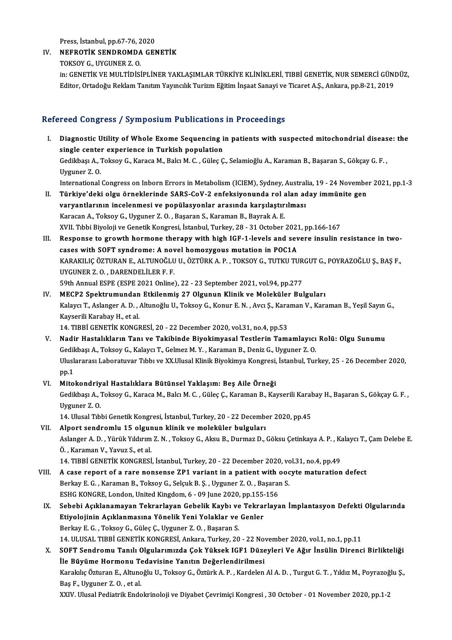Press, İstanbul, pp.67-76, 2020<br>NEFROTİK SENDROMDA CEN

## IV. NEFROTİK SENDROMDA GENETİK<br>TOKSOY G. UYGUNER Z. O. Press, İstanbul, pp.67-76, 2<br><mark>NEFROTİK SENDROMDA</mark><br>TOKSOY G., UYGUNER Z. O.<br>in: CENETİK VE MULTİDİSİ

NEFROTİK SENDROMDA GENETİK<br>TOKSOY G., UYGUNER Z. O.<br>in: GENETİK VE MULTİDİSİPLİNER YAKLAŞIMLAR TÜRKİYE KLİNİKLERİ, TIBBİ GENETİK, NUR SEMERCİ GÜNDÜZ,<br>Editar Ortadağu Baklam Tanıtım Yayıngılık Turiyim Eğitim İngast Sanayi v TOKSOY G., UYGUNER Z. O.<br>in: GENETİK VE MULTİDİSİPLİNER YAKLAŞIMLAR TÜRKİYE KLİNİKLERİ, TIBBİ GENETİK, NUR SEMERCİ GÜNI<br>Editor, Ortadoğu Reklam Tanıtım Yayıncılık Turizm Eğitim İnşaat Sanayi ve Ticaret A.Ş., Ankara, pp.8-2 Editor, Ortadoğu Reklam Tanıtım Yayıncılık Turizm Eğitim İnşaat Sanayi ve Ticaret A.Ş., Ankara, pp.8-21, 2019<br>Refereed Congress / Symposium Publications in Proceedings

- efereed Congress / Symposium Publications in Proceedings<br>I. Diagnostic Utility of Whole Exome Sequencing in patients with suspected mitochondrial disease: the<br>single center experience in Turkish population single center of the Same Sequencing is<br>Diagnostic Utility of Whole Exome Sequencing is<br>single center experience in Turkish population Diagnostic Utility of Whole Exome Sequencing in patients with suspected mitochondrial diseas<br>single center experience in Turkish population<br>Gedikbaşı A., Toksoy G., Karaca M., Balcı M. C. , Güleç Ç., Selamioğlu A., Karaman si<mark>ngle cente</mark><br>Gedikbaşı A., T<br>Uyguner Z. O.<br>International Gedikbaşı A., Toksoy G., Karaca M., Balcı M. C. , Güleç Ç., Selamioğlu A., Karaman B., Başaran S., Gökçay G. F. ,<br>Uyguner Z. O.<br>International Congress on Inborn Errors in Metabolism (ICIEM), Sydney, Australia, 19 - 24 Nove Uyguner Z. O.<br>International Congress on Inborn Errors in Metabolism (ICIEM), Sydney, Australia, 19 - 24 Novembe<br>II. Türkiye'deki olgu örneklerinde SARS-CoV-2 enfeksiyonunda rol alan aday immünite gen<br>vorvontlerinin ins
- International Congress on Inborn Errors in Metabolism (ICIEM), Sydney, Austral<br>Türkiye'deki olgu örneklerinde SARS-CoV-2 enfeksiyonunda rol alan ad<br>varyantlarının incelenmesi ve popülasyonlar arasında karşılaştırılması<br>Kar varyantlarının incelenmesi ve popülasyonlar arasında karşılaştırılması<br>Karacan A., Toksoy G., Uyguner Z.O., Başaran S., Karaman B., Bayrak A. E. varyantlarının incelenmesi ve popülasyonlar arasında karşılaştırılması<br>Karacan A., Toksoy G., Uyguner Z. O. , Başaran S., Karaman B., Bayrak A. E.<br>XVII. Tıbbi Biyoloji ve Genetik Kongresi, İstanbul, Turkey, 28 - 31 October Karacan A., Toksoy G., Uyguner Z. O. , Başaran S., Karaman B., Bayrak A. E.<br>XVII. Tıbbi Biyoloji ve Genetik Kongresi, İstanbul, Turkey, 28 - 31 October 2021, pp.166-167<br>III. Response to growth hormone therapy with high IGF
- XVII. Tıbbi Biyoloji ve Genetik Kongresi, İstanbul, Turkey, 28 31 October 2021<br>Response to growth hormone therapy with high IGF-1-levels and sev<br>cases with SOFT syndrome: A novel homozygous mutation in POC1A<br>KARAKU IC ÖZ Response to growth hormone therapy with high IGF-1-levels and severe insulin resistance in two-<br>cases with SOFT syndrome: A novel homozygous mutation in POC1A<br>KARAKILIÇ ÖZTURAN E., ALTUNOĞLU U., ÖZTÜRK A. P. , TOKSOY G., T cases with SOFT syndrome: A novel homozygous mutation in POC1A<br>KARAKILIÇ ÖZTURAN E., ALTUNOĞLU U., ÖZTÜRK A. P., TOKSOY G., TUTKU TUR<br>UYGUNER Z. O., DARENDELİLER F. F.<br>59th Annual ESPE (ESPE 2021 Online), 22 - 23 September KARAKILIÇ ÖZTURAN E., ALTUNOĞLU U., ÖZTÜRK A. P., TOKSOY G., TUTKU TURGUT G., POYRAZOĞLU Ş., BAŞ F., IV. UYGUNER Z. O., DARENDELİLER F. F.<br>59th Annual ESPE (ESPE 2021 Online), 22 - 23 September 2021, vol.94, pp.277<br>IV. MECP2 Spektrumundan Etkilenmiş 27 Olgunun Klinik ve Moleküler Bulguları<br>Keleküler T. Aslanser A. D. Altu
- Kalaycı T., Aslanger A. D. , Altunoğlu U., Toksoy G., Konur E. N. , Avcı Ş., Karaman V., Karaman B., Yeşil Sayın G.,<br>Kayserili Karabay H., et al. MECP2 Spektrumundan<br>Kalaycı T., Aslanger A. D. , .<br>Kayserili Karabay H., et al.<br>14. TIPPİ CENETİK KONCI 14.TIBBİGENETİKKONGRESİ,20 -22December 2020,vol.31,no.4,pp.53
- V. Nadir Hastalıkların Tanı ve Takibinde Biyokimyasal Testlerin Tamamlayıcı Rolü: Olgu Sunumu GedikbaşıA.,ToksoyG.,KalaycıT.,GelmezM.Y. ,KaramanB.,DenizG.,Uyguner Z.O. Nadir Hastalıkların Tanı ve Takibinde Biyokimyasal Testlerin Tamamlayıcı Rolü: Olgu Sunumu<br>Gedikbaşı A., Toksoy G., Kalaycı T., Gelmez M. Y. , Karaman B., Deniz G., Uyguner Z. O.<br>Uluslararası Laboratuvar Tıbbı ve XX.Ulusal Gedi<mark>l</mark><br>Ulusl<br>pp.1 Vluslararası Laboratuvar Tıbbı ve XX.Ulusal Klinik Biyokimya Kongresi,<br>pp.1<br>VI. Mitokondriyal Hastalıklara Bütünsel Yaklaşım: Beş Aile Örneği
- pp.1<br>Mitokondriyal Hastalıklara Bütünsel Yaklaşım: Beş Aile Örneği<br>Gedikbaşı A., Toksoy G., Karaca M., Balcı M. C. , Güleç Ç., Karaman B., Kayserili Karabay H., Başaran S., Gökçay G. F. , Mitokondriy<br>Gedikbaşı A., I<br>Uyguner Z. O.<br>14. Ulugal Tib Gedikbaşı A., Toksoy G., Karaca M., Balcı M. C. , Güleç Ç., Karaman B., Kayserili Karal<br>Uyguner Z. O.<br>14. Ulusal Tıbbi Genetik Kongresi, İstanbul, Turkey, 20 - 22 December 2020, pp.45<br>Alpert sendremlu 15. olayınun klipik v
- Uyguner Z. O.<br>14. Ulusal Tıbbi Genetik Kongresi, İstanbul, Turkey, 20 22 December<br>15 olgunun klinik ve moleküler bulguları<br>Aslanger A. D. Vürük Yıldırım Z. N. Teksey G. Aksu B. Durmaz D. 14. Ulusal Tıbbi Genetik Kongresi, İstanbul, Turkey, 20 - 22 December 2020, pp.45<br>Alport sendromlu 15 olgunun klinik ve moleküler bulguları<br>Aslanger A. D. , Yürük Yıldırım Z. N. , Toksoy G., Aksu B., Durmaz D., Göksu Çetin Alport sendromlu 15 olgur<br>Aslanger A. D. , Yürük Yıldırım<br>Ö. , Karaman V., Yavuz S., et al.<br>14 .TIPPİ CENETİK KONCPESİ Aslanger A. D. , Yürük Yıldırım Z. N. , Toksoy G., Aksu B., Durmaz D., Göksu Çetinkaya A. P. , K.<br>Ö. , Karaman V., Yavuz S., et al.<br>14. TIBBİ GENETİK KONGRESİ, İstanbul, Turkey, 20 - 22 December 2020, vol.31, no.4, pp.49<br>A

- VIII. A case report of a rare nonsense ZP1 variant in a patient with oocyte maturation defect 14. TIBBİ GENETİK KONGRESİ, İstanbul, Turkey, 20 - 22 December 2020, vo<br>A case report of a rare nonsense ZP1 variant in a patient with ooc<br>Berkay E.G., Karaman B., Toksoy G., Selçuk B. Ş., Uyguner Z. O., Başaran S.<br>ESHC KO Berkay E. G., Karaman B., Toksoy G., Selçuk B. Ş., Uyguner Z. O., Başaran S. ESHG KONGRE, London, United Kingdom, 6 - 09 June 2020, pp.155-156
	- IX. Sebebi Açıklanamayan Tekrarlayan Gebelik Kaybı ve Tekrarlayan İmplantasyon Defekti Olgularında BerkayE.G. ,ToksoyG.,GüleçÇ.,Uyguner Z.O. ,BaşaranS. 14.ULUSAL TIBBİGENETİKKONGRESİ,Ankara,Turkey,20 -22November 2020,vol.1,no.1,pp.11 Berkay E. G. , Toksoy G., Güleç Ç., Uyguner Z. O. , Başaran S.<br>14. ULUSAL TIBBİ GENETİK KONGRESİ, Ankara, Turkey, 20 - 22 November 2020, vol.1, no.1, pp.11<br>X. SOFT Sendromu Tanılı Olgularımızda Çok Yüksek IGF1 Düzeyler
	- 14. ULUSAL TIBBİ GENETİK KONGRESİ, Ankara, Turkey, 20 22 Nov<br>SOFT Sendromu Tanılı Olgularımızda Çok Yüksek IGF1 Düze<br>İle Büyüme Hormonu Tedavisine Yanıtın Değerlendirilmesi<br>Karalaka Östuran E. Altınağlu II. Teksey C. Öst SOFT Sendromu Tanılı Olgularımızda Çok Yüksek IGF1 Düzeyleri Ve Ağır İnsülin Direnci Birlikteliği<br>İle Büyüme Hormonu Tedavisine Yanıtın Değerlendirilmesi<br>Karakılıç Özturan E., Altunoğlu U., Toksoy G., Öztürk A. P. , Kardel İle Büyüme Hormonu Te<br>Karakılıç Özturan E., Altunc<br>Baş F., Uyguner Z. O. , et al.<br>YYIV Ulucel Bediatrik Ende Karakılıç Özturan E., Altunoğlu U., Toksoy G., Öztürk A. P. , Kardelen Al A. D. , Turgut G. T. , Yıldız M., Poyrazoğ<br>Baş F., Uyguner Z. O. , et al.<br>XXIV. Ulusal Pediatrik Endokrinoloji ve Diyabet Çevrimiçi Kongresi , 30 Oc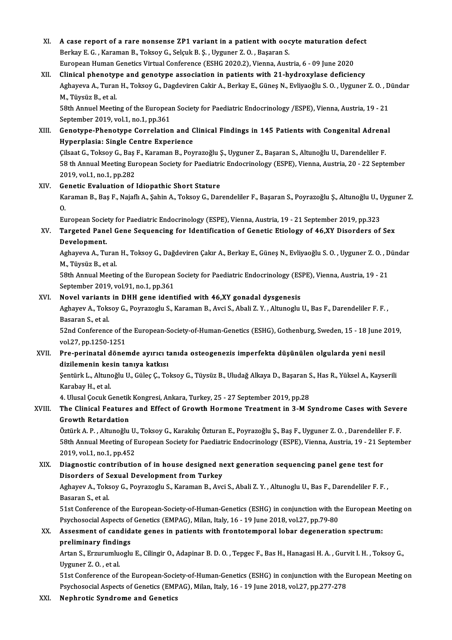XI. A case report of a rare nonsense ZP1 variant in a patient with oocyte maturation defect<br>Replay E.C., Karaman B., Teksey G. Seleyl: B. S., Uyguner 7, O., Bessren S. A case report of a rare nonsense ZP1 variant in a patient with ood<br>Berkay E. G. , Karaman B., Toksoy G., Selçuk B. Ş. , Uyguner Z. O. , Başaran S.<br>European Human Constige Virtual Conforence (ESUC 2020 2), Vienne Aust A case report of a rare nonsense ZP1 variant in a patient with oocyte maturation def<br>Berkay E. G. , Karaman B., Toksoy G., Selçuk B. Ş. , Uyguner Z. O. , Başaran S.<br>European Human Genetics Virtual Conference (ESHG 2020.2), Berkay E. G., Karaman B., Toksoy G., Selçuk B. Ş., Uyguner Z. O., Başaran S.<br>European Human Genetics Virtual Conference (ESHG 2020.2), Vienna, Austria, 6 - 09 June 2020<br>XII. Clinical phenotype and genotype association in p European Human Genetics Virtual Conference (ESHG 2020.2), Vienna, Austria, 6 - 09 June 2020<br>Clinical phenotype and genotype association in patients with 21-hydroxylase deficiency<br>Aghayeva A., Turan H., Toksoy G., Dagdevire Clinical phenoty<br>Aghayeva A., Turar<br>M., Tüysüz B., et al.<br>59th Annuel Mestii Aghayeva A., Turan H., Toksoy G., Dagdeviren Cakir A., Berkay E., Güneş N., Evliyaoğlu S. O. , Uyguner Z. O. , D<br>M., Tüysüz B., et al.<br>58th Annuel Meeting of the European Society for Paediatric Endocrinology /ESPE), Vienna M., Tüysüz B., et al.<br>58th Annuel Meeting of the European Society for Paediatric Endocrinology /ESPE), Vienna, Austria, 19 - 21<br>September 2019, vol.1, no.1, pp.361 58th Annuel Meeting of the European Society for Paediatric Endocrinology /ESPE), Vienna, Austria, 19 - 21<br>September 2019, vol.1, no.1, pp.361<br>XIII. Genotype-Phenotype Correlation and Clinical Findings in 145 Patients with September 2019, vol.1, no.1, pp.361<br>Genotype-Phenotype Correlation and C<br>Hyperplasia: Single Centre Experience Genotype-Phenotype Correlation and Clinical Findings in 145 Patients with Congenital Adrena<br>Hyperplasia: Single Centre Experience<br>Cilsaat G., Toksoy G., Baş F., Karaman B., Poyrazoğlu Ş., Uyguner Z., Başaran S., Altunoğlu Hyperplasia: Single Centre Experience<br>Çilsaat G., Toksoy G., Baş F., Karaman B., Poyrazoğlu Ş., Uyguner Z., Başaran S., Altunoğlu U., Darendeliler F<br>58 th Annual Meeting European Society for Paediatric Endocrinology (ESPE) Cilsaat G., Toksoy G., Baş<br>58 th Annual Meeting Eur<br>2019, vol.1, no.1, pp.282<br>Conetie Eveluation of 58 th Annual Meeting European Society for Paediatric Endocrinology (ESPE), Vienna, Austria, 20 - 22 September<br>2019, vol.1, no.1, pp.282<br>XIV. Genetic Evaluation of Idiopathic Short Stature 2019, vol.1, no.1, pp.282<br>Genetic Evaluation of Idiopathic Short Stature<br>Karaman B., Baş F., Najaflı A., Şahin A., Toksoy G., Darendeliler F., Başaran S., Poyrazoğlu Ş., Altunoğlu U., Uyguner Z. Ge<br>Ka<br>E. Karaman B., Baş F., Najaflı A., Şahin A., Toksoy G., Darendeliler F., Başaran S., Poyrazoğlu Ş., Altunoğlu U., U<br>O.<br>European Society for Paediatric Endocrinology (ESPE), Vienna, Austria, 19 - 21 September 2019, pp.323<br>Tang 0.<br>European Society for Paediatric Endocrinology (ESPE), Vienna, Austria, 19 - 21 September 2019, pp.323<br>XV. Targeted Panel Gene Sequencing for Identification of Genetic Etiology of 46,XY Disorders of Sex<br>Development European Socie<br>Targeted Pane<br>Development. Targeted Panel Gene Sequencing for Identification of Genetic Etiology of 46,XY Disorders of Sex<br>Development.<br>Aghayeva A., Turan H., Toksoy G., Dağdeviren Çakır A., Berkay E., Güneş N., Evliyaoğlu S. O. , Uyguner Z. O. , Dü De<mark>velopment.</mark><br>Aghayeva A., Turar<br>M., Tüysüz B., et al.<br>59th Annual Mestii Aghayeva A., Turan H., Toksoy G., Dağdeviren Çakır A., Berkay E., Güneş N., Evliyaoğlu S. O. , Uyguner Z. O. , D<br>M., Tüysüz B., et al.<br>58th Annual Meeting of the European Society for Paediatric Endocrinology (ESPE), Vienna M., Tüysüz B., et al.<br>58th Annual Meeting of the European Society for Paediatric Endocrinology (ESPE), Vienna, Austria, 19 - 21<br>September 2019, vol.91, no.1, pp.361 58th Annual Meeting of the European Society for Paediatric Endocrinology (ES<br>September 2019, vol.91, no.1, pp.361<br>XVI. Novel variants in DHH gene identified with 46,XY gonadal dysgenesis Aghayev A., Toksoy G., Poyrazoglu S., Karaman B., Avci S., Abali Z. Y. , Altunoglu U., Bas F., Darendeliler F. F. ,<br>Basaran S., et al. Novel variants<br>Aghayev A., Toks<br>Basaran S., et al.<br>E2nd Conforones Aghayev A., Toksoy G., Poyrazoglu S., Karaman B., Avci S., Abali Z. Y. , Altunoglu U., Bas F., Darendeliler F. F. ,<br>Basaran S., et al.<br>52nd Conference of the European-Society-of-Human-Genetics (ESHG), Gothenburg, Sweden, 1 Basaran S., et al.<br>52nd Conference of th<br>vol.27, pp.1250-1251<br>Pre-perinatal döner 52nd Conference of the European-Society-of-Human-Genetics (ESHG), Gothenburg, Sweden, 15 - 18 June 2<br>vol.27, pp.1250-1251<br>XVII. Pre-perinatal dönemde ayırıcı tanıda osteogenezis imperfekta düşünülen olgularda yeni nesil<br>di vol.27, pp.1250-1251<br>Pre-perinatal dönemde ayırıcı t<br>dizilemenin kesin tanıya katkısı<br>Sentürk L. Altuneğlu II. Güles G. Te Pre-perinatal dönemde ayırıcı tanıda osteogenezis imperfekta düşünülen olgularda yeni nesil<br>dizilemenin kesin tanıya katkısı<br>Şentürk L., Altunoğlu U., Güleç Ç., Toksoy G., Tüysüz B., Uludağ Alkaya D., Başaran S., Has R., Y dizilemenin kesin tanıya katkısı<br>Şentürk L., Altunoğlu U., Güleç Ç., Toksoy G., Tüysüz B., Uludağ Alkaya D., Başaran S., Has R., Yüksel A., Kayserili<br>Karabay H., et al. Şentürk L., Altunoğlu U., Güleç Ç., Toksoy G., Tüysüz B., Uludağ Alkaya D., Başaran S<br>Karabay H., et al.<br>4. Ulusal Çocuk Genetik Kongresi, Ankara, Turkey, 25 - 27 September 2019, pp.28<br>The Clinisal Features and Effect of C Karabay H., et al.<br>4. Ulusal Çocuk Genetik Kongresi, Ankara, Turkey, 25 - 27 September 2019, pp.28<br>XVIII. The Clinical Features and Effect of Growth Hormone Treatment in 3-M Syndrome Cases with Severe<br>Growth Peterdatio 4. Ulusal Çocuk Genetik<br>The Clinical Features<br>Growth Retardation The Clinical Features and Effect of Growth Hormone Treatment in 3-M Syndrome Cases with Sever<br>Growth Retardation<br>Öztürk A.P., Altunoğlu U., Toksoy G., Karakılıç Özturan E., Poyrazoğlu Ş., Baş F., Uyguner Z.O. , Darendelile Growth Retardation<br>Öztürk A. P. , Altunoğlu U., Toksoy G., Karakılıç Özturan E., Poyrazoğlu Ş., Baş F., Uyguner Z. O. , Darendeliler F. F.<br>58th Annual Meeting of European Society for Paediatric Endocrinology (ESPE), Vienna 2019,vol.1,no.1,pp.452 58th Annual Meeting of European Society for Paediatric Endocrinology (ESPE), Vienna, Austria, 19 - 21 Se<br>2019, vol.1, no.1, pp.452<br>XIX. Diagnostic contribution of in house designed next generation sequencing panel gene tes 2019, vol.1, no.1, pp.452<br>Diagnostic contribution of in house designed no<br>Disorders of Sexual Development from Turkey Diagnostic contribution of in house designed next generation sequencing panel gene test for<br>Disorders of Sexual Development from Turkey<br>Aghayev A., Toksoy G., Poyrazoglu S., Karaman B., Avci S., Abali Z. Y. , Altunoglu U., Disorders of S<br>Aghayev A., Toks<br>Basaran S., et al.<br>E1et Corforence Aghayev A., Toksoy G., Poyrazoglu S., Karaman B., Avci S., Abali Z. Y. , Altunoglu U., Bas F., Darendeliler F. F. ,<br>Basaran S., et al.<br>51st Conference of the European-Society-of-Human-Genetics (ESHG) in conjunction with th Basaran S., et al.<br>51st Conference of the European-Society-of-Human-Genetics (ESHG) in conjunction with th<br>Psychosocial Aspects of Genetics (EMPAG), Milan, Italy, 16 - 19 June 2018, vol.27, pp.79-80<br>Assesment of candidate 51st Conference of the European-Society-of-Human-Genetics (ESHG) in conjunction with the European Meeting on<br>Psychosocial Aspects of Genetics (EMPAG), Milan, Italy, 16 - 19 June 2018, vol.27, pp.79-80<br>XX. Assesment of cand Psychosocial Aspects of<br>Assesment of candida<br>preliminary findings<br>Artan S. Exaumumbuogh Assesment of candidate genes in patients with frontotemporal lobar degeneration spectrum:<br>preliminary findings<br>Artan S., Erzurumluoglu E., Cilingir O., Adapinar B. D. O. , Tepgec F., Bas H., Hanagasi H. A. , Gurvit I. H. , preliminary findin<br>Artan S., Erzurumlue<br>Uyguner Z. O. , et al.<br>E1st Conference of s Artan S., Erzurumluoglu E., Cilingir O., Adapinar B. D. O. , Tepgec F., Bas H., Hanagasi H. A. , Gurvit I. H. , Toksoy G.,<br>Uyguner Z. O. , et al.<br>51st Conference of the European-Society-of-Human-Genetics (ESHG) in conjunct Uyguner Z. O. , et al.<br>51st Conference of the European-Society-of-Human-Genetics (ESHG) in conjunction with the European Meeting on<br>Psychosocial Aspects of Genetics (EMPAG), Milan, Italy, 16 - 19 June 2018, vol.27, pp.277-XXI. Nephrotic Syndrome and Genetics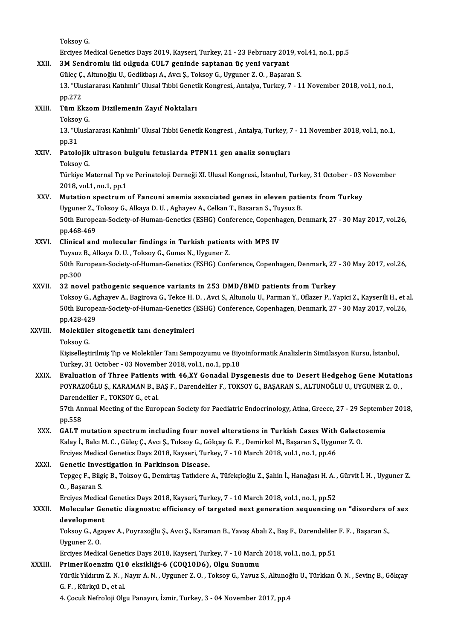ToksoyG. Erciyes Medical Genetics Days 2019, Kayseri, Turkey, 21 - 23 February 2019, vol.41, no.1, pp.5 XXII. 3M Sendromlu iki oılguda CUL7 geninde saptanan üç yeni varyant Erciyes Medical Genetics Days 2019, Kayseri, Turkey, 21 - 23 February 2019, vo<br>3M Sendromlu iki oılguda CUL7 geninde saptanan üç yeni varyant<br>Güleç Ç., Altunoğlu U., Gedikbaşı A., Avcı Ş., Toksoy G., Uyguner Z.O., Başaran 13. "Uluslararası Katılımlı" Ulusal Tıbbi Genetik Kongresi., Antalya, Turkey, 7 - 11 November 2018, vol.1, no.1,<br>pp.272 Güleç Ç.<br>13. "Ulu<br>pp.272<br>Tüm El 13. "Uluslararası Katılımlı" Ulusal Tıbbi Genet<br>pp.272<br>XXIII. Tüm Ekzom Dizilemenin Zayıf Noktaları<br>Teksev C pp.272<br>**Tüm Ekze**<br>Toksoy G.<br>12. "Ungle Tüm Ekzom Dizilemenin Zayıf Noktaları<br>Toksoy G.<br>13. "Uluslararası Katılımlı" Ulusal Tıbbi Genetik Kongresi. , Antalya, Turkey, 7 - 11 November 2018, vol.1, no.1,<br>nn <sup>21</sup> Tokso<br>13. "Ul<br>pp.31<br>Patak 13. "Uluslararası Katılımlı" Ulusal Tıbbi Genetik Kongresi. , Antalya, Turkey, 7<br>pp.31<br>XXIV. Patolojik ultrason bulgulu fetuslarda PTPN11 gen analiz sonuçları<br>Teksey C pp.31<br><mark>Patolojik</mark><br>Törksoy G.<br>Törkive M Toksoy G.<br>Türkiye Maternal Tıp ve Perinatoloji Derneği XI. Ulusal Kongresi., İstanbul, Turkey, 31 October - 03 November 2018, vol.1, no.1, pp.1 Türkiye Maternal Tıp ve Perinatoloji Derneği XI. Ulusal Kongresi., İstanbul, Turkey, 31 October - 03 |<br>2018, vol.1, no.1, pp.1<br>XXV. Mutation spectrum of Fanconi anemia associated genes in eleven patients from Turkey<br>Iluzun 2018, vol.1, no.1, pp.1<br>Mutation spectrum of Fanconi anemia associated genes in eleven pational surfaction of Fanconi anemia associate<br>Uyguner Z., Toksoy G., Alkaya D. U. , Aghayev A., Celkan T., Basaran S., Tuysuz B.<br>E0th 50th European-Society-of-Human-Genetics (ESHG) Conference, Copenhagen, Denmark, 27 - 30 May 2017, vol.26, pp.468-469 Uyguner Z., Toksoy G., Alkaya D. U., Aghayev A., Celkan T., Basaran S., Tuysuz B. 50th European-Society-of-Human-Genetics (ESHG) Conference, Copenhapp.<br>468-469<br>XXVI. Clinical and molecular findings in Turkish patients with MPS IV pp.468-469<br>Clinical and molecular findings in Turkish patient<br>Tuysuz B., Alkaya D. U. , Toksoy G., Gunes N., Uyguner Z.<br>E<sup>0th Euronean Sosisty of Human Constige (ESUC) Con</sub></sup> 50th European-Society-of-Human-Genetics (ESHG) Conference, Copenhagen, Denmark, 27 - 30 May 2017, vol.26, pp.300 Tuysuz B., Alkaya D. U., Toksoy G., Gunes N., Uyguner Z. XXVII. 32 novel pathogenic sequence variants in 253 DMD/BMD patients from Turkey pp.300<br>32 novel pathogenic sequence variants in 253 DMD/BMD patients from Turkey<br>Toksoy G., Aghayev A., Bagirova G., Tekce H. D. , Avci S., Altunolu U., Parman Y., Oflazer P., Yapici Z., Kayserili H., et al.<br>50th European 32 novel pathogenic sequence variants in 253 DMD/BMD patients from Turkey<br>Toksoy G., Aghayev A., Bagirova G., Tekce H. D. , Avci S., Altunolu U., Parman Y., Oflazer P., Yapici Z., Kayserili H., et<br>50th European-Society-of-Toksoy G., A<br>50th Europe<br>pp.428-429<br>Moleküler 50th European-Society-of-Human-Genetics (ESHG) Conference, Copenhagen, Denmark, 27 - 30 May 2017, vol.26,<br>pp.428-429<br>XXVIII. Moleküler sitogenetik tanı deneyimleri<br>Toksoy G. pp 428-429 Moleküler sitogenetik tanı deneyimleri<br>Toksoy G.<br>Kişiselleştirilmiş Tıp ve Moleküler Tanı Sempozyumu ve Biyoinformatik Analizlerin Simülasyon Kursu, İstanbul, Toksoy G.<br>Kişiselleştirilmiş Tıp ve Moleküler Tanı Sempozyumu ve Biye<br>Turkey, 31 October - 03 November 2018, vol.1, no.1, pp.18<br>Fyralustion of Three Betiente with 46 XX Gonadel Dyg Kişiselleştirilmiş Tıp ve Moleküler Tanı Sempozyumu ve Biyoinformatik Analizlerin Simülasyon Kursu, İstanbul,<br>Turkey, 31 October - 03 November 2018, vol.1, no.1, pp.18<br>XXIX. Evaluation of Three Patients with 46,XY Gonadal Turkey, 31 October - 03 November 2018, vol.1, no.1, pp.18<br>Evaluation of Three Patients with 46,XY Gonadal Dysgenesis due to Desert Hedgehog Gene Mutatic<br>POYRAZOĞLU Ş., KARAMAN B., BAŞ F., Darendeliler F., TOKSOY G., BAŞARA Evaluation of Three Patients<br>POYRAZOĞLU Ş., KARAMAN B., B<br>Darendeliler F., TOKSOY G., et al.<br>E<sup>7th</sup> Annual Mesting of the Euro POYRAZOĞLU Ş., KARAMAN B., BAŞ F., Darendeliler F., TOKSOY G., BAŞARAN S., ALTUNOĞLU U., UYGUNER Z. O. ,<br>Darendeliler F., TOKSOY G., et al.<br>57th Annual Meeting of the European Society for Paediatric Endocrinology, Atina, G Darendeliler F., TOKSOY G., et al.<br>57th Annual Meeting of the European Society for Paediatric Endocrinology, Atina, Greece, 27 - 29 September 2018,<br>pp.558 57th Annual Meeting of the European Society for Paediatric Endocrinology, Atina, Greece, 27 - 29 September pp.558<br>XXX. GALT mutation spectrum including four novel alterations in Turkish Cases With Galactosemia<br>Kalactosemia pp.558<br>GALT mutation spectrum including four novel alterations in Turkish Cases With Galacto<br>Kalay İ., Balcı M. C. , Güleç Ç., Avcı Ş., Toksoy G., Gökçay G. F. , Demirkol M., Başaran S., Uyguner Z. O.<br>Freives Medisal Canat GALT mutation spectrum including four novel alterations in Turkish Cases With<br>Kalay İ., Balcı M. C. , Güleç Ç., Avcı Ş., Toksoy G., Gökçay G. F. , Demirkol M., Başaran S., Uyguı<br>Erciyes Medical Genetics Days 2018, Kayseri, Kalay İ., Balcı M. C. , Güleç Ç., Avcı Ş., Toksoy G., Gö<br>Erciyes Medical Genetics Days 2018, Kayseri, Tur<br>XXXI. Genetic Investigation in Parkinson Disease.<br>Tanges E. Bilgie B. Toksov C. Demirtes Tatlylore Tepgeç F., Bilgiç B., Toksoy G., Demirtaş Tatlıdere A., Tüfekçioğlu Z., Şahin İ., Hanağası H. A. , Gürvit İ. H. , Uyguner Z.<br>O. , Başaran S. Genetic Investigation in Parkinson Disease. Tepgeç F., Bilgiç B., Toksoy G., Demirtaş Tatlıdere A., Tüfekçioğlu Z., Şahin İ., Hanağası H. A. ,<br>O. , Başaran S.<br>Erciyes Medical Genetics Days 2018, Kayseri, Turkey, 7 - 10 March 2018, vol.1, no.1, pp.52<br>Melegular Geneti 0. , Başaran S.<br>Erciyes Medical Genetics Days 2018, Kayseri, Turkey, 7 - 10 March 2018, vol.1, no.1, pp.52<br>XXXII. Molecular Genetic diagnostic efficiency of targeted next generation sequencing on "disorders of sex<br>deve Erciyes Medica<br>Molecular Ge<br>development<br>Teksev Gedra Molecular Genetic diagnostıc efficiency of targeted next generation sequencing on "disorders c<br>development<br>Toksoy G., Agayev A., Poyrazoğlu Ş., Avcı Ş., Karaman B., Yavaş Abalı Z., Baş F., Darendeliler F. F. , Başaran S.,<br> developmen<br>Toksoy G., Ag.<br>Uyguner Z. O.<br>Ensives Media Toksoy G., Agayev A., Poyrazoğlu Ş., Avcı Ş., Karaman B., Yavaş Abalı Z., Baş F., Darendeliler<br>Uyguner Z. O.<br>Erciyes Medical Genetics Days 2018, Kayseri, Turkey, 7 - 10 March 2018, vol.1, no.1, pp.51<br>PrimerKeenzim 010 eksi Uyguner Z. O.<br>Erciyes Medical Genetics Days 2018, Kayseri, Turkey, 7 - 10 March 2018, vol.1, no.1, pp.51<br>XXXIII. PrimerKoenzim 010 eksikliği-6 (COO10D6). Olgu Sunumu Erciyes Medical Genetics Days 2018, Kayseri, Turkey, 7 - 10 March 2018, vol.1, no.1, pp.51<br><mark>PrimerKoenzim Q10 eksikliği-6 (COQ10D6), Olgu Sunumu</mark><br>Yürük Yıldırım Z. N. , Nayır A. N. , Uyguner Z. O. , Toksoy G., Yavuz S., Al PrimerKoenzim Q10 eksikliği-6 (COQ10D6), Olgu Sunumu<br>Yürük Yıldırım Z. N. , Nayır A. N. , Uyguner Z. O. , Toksoy G., Yavuz S., Altunoğ<br>G. F. , Kürkçü D., et al.<br>4. Çocuk Nefroloji Olgu Panayırı, İzmir, Turkey, 3 - 04 Novem Yürük Yıldırım Z. N. , Nayır A. N. , Uyguner Z. O. , Toksoy G., Yavuz S., Altunoğ<br>G. F. , Kürkçü D., et al.<br>4. Çocuk Nefroloji Olgu Panayırı, İzmir, Turkey, 3 - 04 November 2017, pp.4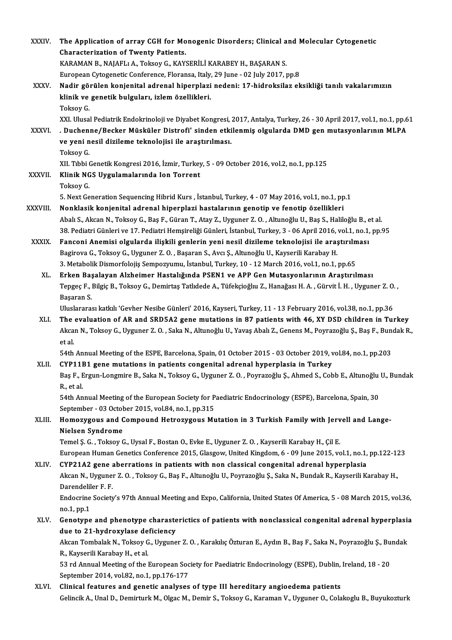| XXXIV.        | The Application of array CGH for Monogenic Disorders; Clinical and Molecular Cytogenetic                                            |
|---------------|-------------------------------------------------------------------------------------------------------------------------------------|
|               | Characterization of Twenty Patients.                                                                                                |
|               | KARAMAN B., NAJAFLI A., Toksoy G., KAYSERİLİ KARABEY H., BAŞARAN S.                                                                 |
|               | European Cytogenetic Conference, Floransa, Italy, 29 June - 02 July 2017, pp.8                                                      |
| XXXV.         | Nadir görülen konjenital adrenal hiperplazi nedeni: 17-hidroksilaz eksikliği tanılı vakalarımızın                                   |
|               | klinik ve genetik bulguları, izlem özellikleri.                                                                                     |
|               | Toksoy G.                                                                                                                           |
|               | XXI. Ulusal Pediatrik Endokrinoloji ve Diyabet Kongresi, 2017, Antalya, Turkey, 26 - 30 April 2017, vol.1, no.1, pp.61              |
| <b>XXXVI</b>  | . Duchenne/Becker Müsküler Distrofi' sinden etkilenmiş olgularda DMD gen mutasyonlarının MLPA                                       |
|               | ve yeni nesil dizileme teknolojisi ile araştırılması.                                                                               |
|               | Toksoy G.                                                                                                                           |
|               | XII. Tibbi Genetik Kongresi 2016, İzmir, Turkey, 5 - 09 October 2016, vol.2, no.1, pp.125                                           |
| <b>XXXVII</b> | Klinik NGS Uygulamalarında Ion Torrent                                                                                              |
|               | Toksoy G.                                                                                                                           |
|               | 5. Next Generation Sequencing Hibrid Kurs, İstanbul, Turkey, 4 - 07 May 2016, vol.1, no.1, pp.1                                     |
| XXXVIII.      | Nonklasik konjenital adrenal hiperplazi hastalarının genotip ve fenotip özellikleri                                                 |
|               | Abalı S., Akcan N., Toksoy G., Baş F., Güran T., Atay Z., Uyguner Z. O., Altunoğlu U., Baş S., Haliloğlu B., et al.                 |
|               | 38. Pediatri Günleri ve 17. Pediatri Hemşireliği Günleri, İstanbul, Turkey, 3 - 06 April 2016, vol.1, no.1, pp.95                   |
| <b>XXXIX</b>  | Fanconi Anemisi olgularda ilişkili genlerin yeni nesil dizileme teknolojisi ile araştırılması                                       |
|               | Bagirova G., Toksoy G., Uyguner Z. O., Başaran S., Avcı Ş., Altunoğlu U., Kayserili Karabay H.                                      |
|               | 3. Metabolik Dismorfolojis Sempozyumu, İstanbul, Turkey, 10 - 12 March 2016, vol.1, no.1, pp.65                                     |
| XL.           | Erken Başalayan Alzheimer Hastalığında PSEN1 ve APP Gen Mutasyonlarının Araştırılması                                               |
|               | Tepgeç F., Bilgiç B., Toksoy G., Demirtaş Tatlıdede A., Tüfekçioğluı Z., Hanağası H. A., Gürvit İ. H., Uyguner Z. O.,<br>Başaran S. |
|               | Uluslararası katkılı 'Gevher Nesibe Günleri' 2016, Kayseri, Turkey, 11 - 13 February 2016, vol.38, no.1, pp.36                      |
| XLI.          | The evaluation of AR and SRD5A2 gene mutations in 87 patients with 46, XY DSD children in Turkey                                    |
|               | Akcan N., Toksoy G., Uyguner Z. O., Saka N., Altunoğlu U., Yavaş Abalı Z., Genens M., Poyrazoğlu Ş., Baş F., Bundak R.,             |
|               | et al.                                                                                                                              |
|               | 54th Annual Meeting of the ESPE, Barcelona, Spain, 01 October 2015 - 03 October 2019, vol.84, no.1, pp.203                          |
| XLII.         | CYP11B1 gene mutations in patients congenital adrenal hyperplasia in Turkey                                                         |
|               | Baş F., Ergun-Longmire B., Saka N., Toksoy G., Uyguner Z. O., Poyrazoğlu Ş., Ahmed S., Cobb E., Altunoğlu U., Bundak                |
|               | R, et al.                                                                                                                           |
|               | 54th Annual Meeting of the European Society for Paediatric Endocrinology (ESPE), Barcelona, Spain, 30                               |
|               | September - 03 October 2015, vol.84, no.1, pp.315                                                                                   |
| XLIII.        | Homozygous and Compound Hetrozygous Mutation in 3 Turkish Family with Jervell and Lange-                                            |
|               | <b>Nielsen Syndrome</b>                                                                                                             |
|               | Temel Ş. G., Toksoy G., Uysal F., Bostan O., Evke E., Uyguner Z. O., Kayserili Karabay H., Çil E.                                   |
|               | European Human Genetics Conference 2015, Glasgow, United Kingdom, 6 - 09 June 2015, vol.1, no.1, pp.122-123                         |
| XLIV.         | CYP21A2 gene aberrations in patients with non classical congenital adrenal hyperplasia                                              |
|               | Akcan N., Uyguner Z. O., Toksoy G., Baş F., Altunoğlu U., Poyrazoğlu Ş., Saka N., Bundak R., Kayserili Karabay H.,                  |
|               | Darendeliler F F                                                                                                                    |
|               | Endocrine Society's 97th Annual Meeting and Expo, California, United States Of America, 5 - 08 March 2015, vol.36,                  |
|               | no 1, pp 1                                                                                                                          |
| XLV           | Genotype and phenotype charasterictics of patients with nonclassical congenital adrenal hyperplasia                                 |
|               | due to 21-hydroxylase deficiency                                                                                                    |
|               | Akcan Tombalak N., Toksoy G., Uyguner Z. O., Karakılıç Özturan E., Aydın B., Baş F., Saka N., Poyrazoğlu Ş., Bundak                 |
|               | R., Kayserili Karabay H., et al.                                                                                                    |
|               | 53 rd Annual Meeting of the European Society for Paediatric Endocrinology (ESPE), Dublin, Ireland, 18 - 20                          |
|               | September 2014, vol.82, no.1, pp.176-177                                                                                            |
| XLVI.         | Clinical features and genetic analyses of type III hereditary angioedema patients                                                   |
|               | Gelincik A., Unal D., Demirturk M., Olgac M., Demir S., Toksoy G., Karaman V., Uyguner O., Colakoglu B., Buyukozturk                |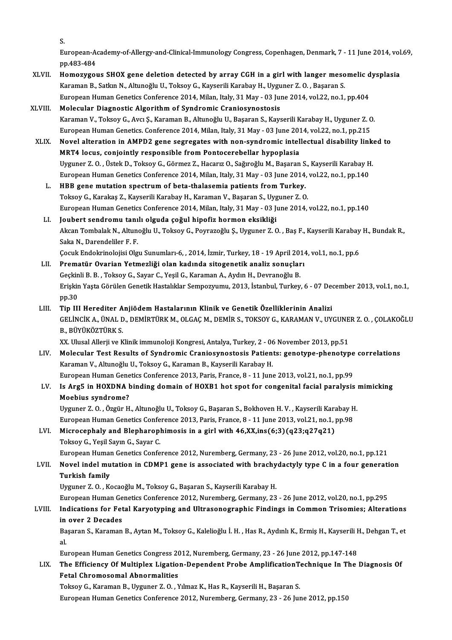S.<br>E.

S.<br>European-Academy-of-Allergy-and-Clinical-Immunology Congress, Copenhagen, Denmark, 7 - 11 June 2014, vol.69,<br>nn 483,484 S.<br>European-A<br>pp.483-484<br>Homorysor European-Academy-of-Allergy-and-Clinical-Immunology Congress, Copenhagen, Denmark, 7 - 11 June 2014, vol<br>pp.483-484<br>XLVII. Homozygous SHOX gene deletion detected by array CGH in a girl with langer mesomelic dysplasia

- pp.483-484<br>Homozygous SHOX gene deletion detected by array CGH in a girl with langer meso<br>Karaman B., Satkın N., Altunoğlu U., Toksoy G., Kayserili Karabay H., Uyguner Z. O. , Başaran S.<br>European Human Conetics Conference Homozygous SHOX gene deletion detected by array CGH in a girl with langer mesomelic d<br>Karaman B., Satkın N., Altunoğlu U., Toksoy G., Kayserili Karabay H., Uyguner Z. O. , Başaran S.<br>European Human Genetics Conference 2014 Karaman B., Satkın N., Altunoğlu U., Toksoy G., Kayserili Karabay H., Uyguner Z. O. , Başaran S.<br>European Human Genetics Conference 2014, Milan, Italy, 31 May - 03 June 2014, vol.22, no.1, pp.404<br>XLVIII. Molecular Diagnost European Human Genetics Conference 2014, Milan, Italy, 31 May - 03 June 2014, vol.22, no.1, pp.404
- Molecular Diagnostic Algorithm of Syndromic Craniosynostosis<br>Karaman V., Toksoy G., Avcı Ş., Karaman B., Altunoğlu U., Başaran S., Kayserili Karabay H., Uyguner Z. C<br>European Human Genetics. Conference 2014, Milan, Italy, Karaman V., Toksoy G., Avcı Ş., Karaman B., Altunoğlu U., Başaran S., Kayserili Karabay H., Uyguner Z. O.<br>European Human Genetics. Conference 2014, Milan, Italy, 31 May - 03 June 2014, vol.22, no.1, pp.215<br>XLIX. Novel alte
- European Human Genetics. Conference 2014, Milan, Italy, 31 May 03 June 2014<br>Novel alteration in AMPD2 gene segregates with non-syndromic intel<br>MRT4 locus, conjointly responsible from Pontocerebellar hypoplasia<br>Uvauner 7. Novel alteration in AMPD2 gene segregates with non-syndromic intellectual disability link<br>MRT4 locus, conjointly responsible from Pontocerebellar hypoplasia<br>Uyguner Z.O., Üstek D., Toksoy G., Görmez Z., Hacarız O., Sağıroğ MRT4 locus, conjointly responsible from Pontocerebellar hypoplasia<br>Uyguner Z. O. , Üstek D., Toksoy G., Görmez Z., Hacarız O., Sağıroğlu M., Başaran S., Kayserili Karabay H.<br>European Human Genetics Conference 2014, Milan, Uyguner Z. O. , Üstek D., Toksoy G., Görmez Z., Hacarız O., Sağıroğlu M., Başaran S<br>European Human Genetics Conference 2014, Milan, Italy, 31 May - 03 June 2014<br>L. HBB gene mutation spectrum of beta-thalasemia patients fro
	- European Human Genetics Conference 2014, Milan, Italy, 31 May 03 June 2014,<br>HBB gene mutation spectrum of beta-thalasemia patients from Turkey.<br>Toksoy G., Karakaş Z., Kayserili Karabay H., Karaman V., Başaran S., Uyguner Toksoy G., Karakaş Z., Kayserili Karabay H., Karaman V., Başaran S., Uyguner Z. O.<br>European Human Genetics Conference 2014, Milan, Italy, 31 May - 03 June 2014, vol.22, no.1, pp.140
	- LI. Joubert sendromu tanılı olguda çoğul hipofiz hormon eksikliği European Human Genetics Conference 2014, Milan, Italy, 31 May - 03 June 2014, vol.22, no.1, pp.140<br>Joubert sendromu tanılı olguda çoğul hipofiz hormon eksikliği<br>Akcan Tombalak N., Altunoğlu U., Toksoy G., Poyrazoğlu Ş., Uy **Joubert sendromu tanı**<br>Akcan Tombalak N., Altun<br>Saka N., Darendeliler F. F.<br>Coml: Endelminelejisi Ola Akcan Tombalak N., Altunoğlu U., Toksoy G., Poyrazoğlu Ş., Uyguner Z. O. , Baş F., Kayserili Karabay<br>Saka N., Darendeliler F. F.<br>Çocuk Endokrinolojisi Olgu Sunumları-6, , 2014, İzmir, Turkey, 18 - 19 April 2014, vol.1, no. Saka N., Darendeliler F. F.<br>2014, İzmir, Turkey, 18 - 19 April 2014, Cocuk Endokrinolojisi Olgu Sunumları-6, , 2014, İzmir, Turkey, 18 - 19<br>2014, İsman Yetmezliği olan kadında sitogenetik analiz sonuçları
	- Çocuk Endokrinolojisi Olgu Sunumları-6, , 2014, İzmir, Turkey, 18 19 April 2019<br>Prematür Ovarian Yetmezliği olan kadında sitogenetik analiz sonuçlar<br>Geçkinli B. B. , Toksoy G., Sayar C., Yeşil G., Karaman A., Aydın H., D Prematür Ovarian Yetmezliği olan kadında sitogenetik analiz sonuçları<br>Geçkinli B. B. , Toksoy G., Sayar C., Yeşil G., Karaman A., Aydın H., Devranoğlu B.<br>Erişkin Yaşta Görülen Genetik Hastalıklar Sempozyumu, 2013, İstanbul Geçkinli B. B. , Toksoy G., Sayar C., Yeşil G., Karaman A., Aydın H., Devranoğlu B.<br>Erişkin Yaşta Görülen Genetik Hastalıklar Sempozyumu, 2013, İstanbul, Turkey, 6 - 07 Dec<br>pp.30<br>Tip III Herediter Anjiödem Hastalarının Kli Erişkin Yaşta Görülen Genetik Hastalıklar Sempozyumu, 2013, İstanbul, Turkey, 6 - 07 Deq<br>PD.30<br>LIII. Tip III Herediter Anjiödem Hastalarının Klinik ve Genetik Özelliklerinin Analizi
	- pp.30<br>Tip III Herediter Anjiödem Hastalarının Klinik ve Genetik Özelliklerinin Analizi<br>GELİNCİK A., ÜNAL D., DEMİRTÜRK M., OLGAÇ M., DEMİR S., TOKSOY G., KARAMAN V., UYGUNER Z. O. , ÇOLAKOĞLU<br>R. RÜVÜKÖZTÜRK S Tip III Herediter A<br>GELİNCİK A., ÜNAL D<br>B., BÜYÜKÖZTÜRK S.<br>YY Hlusal Allerii ve K GELİNCİK A., ÜNAL D., DEMİRTÜRK M., OLGAÇ M., DEMİR S., TOKSOY G., KARAMAN V., UYGUNE<br>B., BÜYÜKÖZTÜRK S.<br>XX. Ulusal Allerji ve Klinik immunoloji Kongresi, Antalya, Turkey, 2 - 06 November 2013, pp.51<br>Malaqular Test Besults

- B., BÜYÜKÖZTÜRK S.<br>XX. Ulusal Allerji ve Klinik immunoloji Kongresi, Antalya, Turkey, 2 06 November 2013, pp.51<br>LIV. Molecular Test Results of Syndromic Craniosynostosis Patients: genotype-phenotype correlations<br>Kara XX. Ulusal Allerji ve Klinik immunoloji Kongresi, Antalya, Turkey, 2 - 06<br>Molecular Test Results of Syndromic Craniosynostosis Patien<br>Karaman V., Altunoğlu U., Toksoy G., Karaman B., Kayserili Karabay H.<br>European Human Con Molecular Test Results of Syndromic Craniosynostosis Patients: genotype-phenotype<br>Karaman V., Altunoğlu U., Toksoy G., Karaman B., Kayserili Karabay H.<br>European Human Genetics Conference 2013, Paris, France, 8 - 11 June 20 Karaman V., Altunoğlu U., Toksoy G., Karaman B., Kayserili Karabay H.<br>European Human Genetics Conference 2013, Paris, France, 8 - 11 June 2013, vol.21, no.1, pp.99<br>LV. Is Arg5 in HOXDNA binding domain of HOXB1 hot spot for
- European Human Gene<br>Is Arg5 in HOXDNA l<br>Moebius syndrome?<br><sup>Humunon 7</sup> O. Özgün H Is Arg5 in HOXDNA binding domain of HOXB1 hot spot for congenital facial paralysis i<br>Moebius syndrome?<br>Uyguner Z.O. ,Özgür H., Altunoğlu U., Toksoy G., Başaran S., Bokhoven H. V. , Kayserili Karabay H.<br>European Human Const Moebius syndrome?<br>Uyguner Z. O. , Özgür H., Altunoğlu U., Toksoy G., Başaran S., Bokhoven H. V. , Kayserili Karabay H.

European Human Genetics Conference 2013, Paris, France, 8 - 11 June 2013, vol.21, no.1, pp.98

## LVI. Microcephaly and Blepharophimosis in a girl with 46,XX,ins(6;3)(q23;q27q21)<br>Toksoy G., Yeşil Sayın G., Sayar C. Microcephaly and Blepharophimosis in a girl with 46,XX,ins(6;3)(q23;q27q21)<br>Toksoy G., Yeşil Sayın G., Sayar C.<br>European Human Genetics Conference 2012, Nuremberg, Germany, 23 - 26 June 2012, vol.20, no.1, pp.121<br>Novel ind

## Toksoy G., Yeşil Sayın G., Sayar C.<br>European Human Genetics Conference 2012, Nuremberg, Germany, 23 - 26 June 2012, vol.20, no.1, pp.121<br>LVII. Novel indel mutation in CDMP1 gene is associated with brachydactyly type C in a European Humai<br>Novel indel mu<br>Turkish family<br><sup>Hugunor 7, O., K</sup> Novel indel mutation in CDMP1 gene is associated with brachydactyly type C in a four generation<br>Turkish family<br>Uyguner Z.O., Kocaoğlu M., Toksoy G., Başaran S., Kayserili Karabay H. Turkish family<br>Uyguner Z. O. , Kocaoğlu M., Toksoy G., Başaran S., Kayserili Karabay H.<br>European Human Genetics Conference 2012, Nuremberg, Germany, 23 - 26 June 2012, vol.20, no.1, pp.295<br>Indications for Estal Karyotyning

## Uyguner Z. O. , Kocaoğlu M., Toksoy G., Başaran S., Kayserili Karabay H.<br>European Human Genetics Conference 2012, Nuremberg, Germany, 23 - 26 June 2012, vol.20, no.1, pp.295<br>LVIII. Indications for Fetal Karyotyping and Ult European Human Ge<br>Indications for Fet<br>in over 2 Decades<br>Becaran 6, Karaman Indications for Fetal Karyotyping and Ultrasonographic Findings in Common Trisomies; Alterations<br>in over 2 Decades<br>Başaran S., Karaman B., Aytan M., Toksoy G., Kalelioğlu İ. H. , Has R., Aydınlı K., Ermiş H., Kayserili H.,

in<br>Ba<br>al Başaran S., Karaman B., Aytan M., Toksoy G., Kalelioğlu İ. H. , Has R., Aydınlı K., Ermiş H., Kayserili H., Dehgan T., et<br>al.<br>European Human Genetics Congress 2012, Nuremberg, Germany, 23 - 26 June 2012, pp.147-148

## al.<br>European Human Genetics Congress 2012, Nuremberg, Germany, 23 - 26 June 2012, pp.147-148<br>LIX. The Efficiency Of Multiplex Ligation-Dependent Probe AmplificationTechnique In The Diagnosis Of European Human Genetics Congress 20<br>The Efficiency Of Multiplex Ligatio<br>Fetal Chromosomal Abnormalities<br>Teksey C. Karaman B. Uygunen 7, 0, N The Efficiency Of Multiplex Ligation-Dependent Probe AmplificationT<br>Fetal Chromosomal Abnormalities<br>Toksoy G., Karaman B., Uyguner Z. O. , Yılmaz K., Has R., Kayserili H., Başaran S.<br>Furancan Human Canatics Canfaranca 2012

Fetal Chromosomal Abnormalities<br>Toksoy G., Karaman B., Uyguner Z. O. , Yılmaz K., Has R., Kayserili H., Başaran S.<br>European Human Genetics Conference 2012, Nuremberg, Germany, 23 - 26 June 2012, pp.150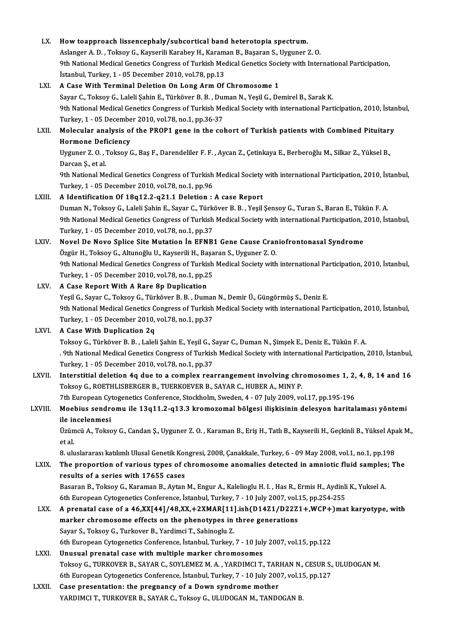| LX.     | How toapproach lissencephaly/subcortical band heterotopia spectrum.                                                                                                                                    |
|---------|--------------------------------------------------------------------------------------------------------------------------------------------------------------------------------------------------------|
|         | Aslanger A. D., Toksoy G., Kayserili Karabey H., Karaman B., Başaran S., Uyguner Z. O.<br>9th National Medical Genetics Congress of Turkish Medical Genetics Society with International Participation, |
|         | İstanbul, Turkey, 1 - 05 December 2010, vol.78, pp.13                                                                                                                                                  |
| LXI.    | A Case With Terminal Deletion On Long Arm Of Chromosome 1                                                                                                                                              |
|         | Sayar C., Toksoy G., Laleli Şahin E., Türköver B. B., Duman N., Yeşil G., Demirel B., Sarak K.                                                                                                         |
|         | 9th National Medical Genetics Congress of Turkish Medical Society with international Participation, 2010, İstanbul,                                                                                    |
|         | Turkey, 1 - 05 December 2010, vol.78, no.1, pp.36-37                                                                                                                                                   |
| LXII.   | Molecular analysis of the PROP1 gene in the cohort of Turkish patients with Combined Pituitary                                                                                                         |
|         | <b>Hormone Deficiency</b>                                                                                                                                                                              |
|         | Uyguner Z. O., Toksoy G., Baş F., Darendeliler F. F., Aycan Z., Çetinkaya E., Berberoğlu M., Silkar Z., Yüksel B.,                                                                                     |
|         | Darcan Ş, et al.                                                                                                                                                                                       |
|         | 9th National Medical Genetics Congress of Turkish Medical Society with international Participation, 2010, İstanbul,                                                                                    |
|         | Turkey, 1 - 05 December 2010, vol.78, no.1, pp.96                                                                                                                                                      |
| LXIII.  | A Identification Of 18q12.2-q21.1 Deletion : A case Report                                                                                                                                             |
|         | Duman N., Toksoy G., Laleli Şahin E., Sayar C., Türköver B. B., Yeşil Şensoy G., Turan S., Baran E., Tükün F. A.                                                                                       |
|         | 9th National Medical Genetics Congress of Turkish Medical Society with international Participation, 2010, İstanbul,                                                                                    |
|         | Turkey, 1 - 05 December 2010, vol.78, no.1, pp.37                                                                                                                                                      |
| LXIV.   | Novel De Novo Splice Site Mutation In EFNB1 Gene Cause Craniofrontonasal Syndrome                                                                                                                      |
|         | Özgür H., Toksoy G., Altunoğlu U., Kayserili H., Başaran S., Uyguner Z. O.                                                                                                                             |
|         | 9th National Medical Genetics Congress of Turkish Medical Society with international Participation, 2010, İstanbul,                                                                                    |
|         | Turkey, 1 - 05 December 2010, vol.78, no.1, pp.25                                                                                                                                                      |
| LXV.    | A Case Report With A Rare 8p Duplication                                                                                                                                                               |
|         | Yeşil G., Sayar C., Toksoy G., Türköver B. B., Duman N., Demir Ü., Güngörmüş S., Deniz E.                                                                                                              |
|         | 9th National Medical Genetics Congress of Turkish Medical Society with international Participation, 2010, İstanbul,                                                                                    |
|         | Turkey, 1 - 05 December 2010, vol.78, no.1, pp.37                                                                                                                                                      |
| LXVI.   | A Case With Duplication 2q                                                                                                                                                                             |
|         | Toksoy G., Türköver B. B., Laleli Şahin E., Yeşil G., Sayar C., Duman N., Şimşek E., Deniz E., Tükün F. A.                                                                                             |
|         | 9th National Medical Genetics Congress of Turkish Medical Society with international Participation, 2010, İstanbul,                                                                                    |
|         | Turkey, 1 - 05 December 2010, vol 78, no 1, pp.37                                                                                                                                                      |
| LXVII.  | Interstitial deletion 4q due to a complex rearrangement involving chromosomes 1, 2, 4, 8, 14 and 16                                                                                                    |
|         | Toksoy G., ROETHLISBERGER B., TUERKOEVER B., SAYAR C., HUBER A., MINY P.                                                                                                                               |
|         | 7th European Cytogenetics Conference, Stockholm, Sweden, 4 - 07 July 2009, vol.17, pp.195-196                                                                                                          |
| LXVIII. | Moebius sendromu ile 13q11.2-q13.3 kromozomal bölgesi ilişkisinin delesyon haritalaması yöntemi                                                                                                        |
|         | ile incelenmesi                                                                                                                                                                                        |
|         | Üzümcü A., Toksoy G., Candan Ş., Uyguner Z. O., Karaman B., Eriş H., Tatlı B., Kayserili H., Geçkinli B., Yüksel Apak M.,                                                                              |
|         | et al.                                                                                                                                                                                                 |
|         | 8. uluslararası katılımlı Ulusal Genetik Kongresi, 2008, Çanakkale, Turkey, 6 - 09 May 2008, vol.1, no.1, pp.198                                                                                       |
| LXIX.   | The proportion of various types of chromosome anomalies detected in amniotic fluid samples; The                                                                                                        |
|         | results of a series with 17655 cases                                                                                                                                                                   |
|         | Basaran B., Toksoy G., Karaman B., Aytan M., Engur A., Kalelioglu H. I., Has R., Ermis H., Aydinli K., Yuksel A.                                                                                       |
|         | 6th European Cytogenetics Conference, İstanbul, Turkey, 7 - 10 July 2007, vol.15, pp.254-255                                                                                                           |
| LXX.    | A prenatal case of a 46, XX[44]/48, XX, +2XMAR[11].ish(D14Z1/D22Z1+, WCP+) mat karyotype, with                                                                                                         |
|         | marker chromosome effects on the phenotypes in three generations                                                                                                                                       |
|         | Sayar S., Toksoy G., Turkover B., Yardimci T., Sahinoglu Z.                                                                                                                                            |
|         | 6th European Cytogenetics Conference, İstanbul, Turkey, 7 - 10 July 2007, vol.15, pp.122                                                                                                               |
| LXXI.   | Unusual prenatal case with multiple marker chromosomes                                                                                                                                                 |
|         | Toksoy G., TURKOVER B., SAYAR C., SOYLEMEZ M. A., YARDIMCI T., TARHAN N., CESUR S., ULUDOGAN M.                                                                                                        |
|         | 6th European Cytogenetics Conference, İstanbul, Turkey, 7 - 10 July 2007, vol.15, pp.127                                                                                                               |
| LXXII.  | Case presentation: the pregnancy of a Down syndrome mother                                                                                                                                             |
|         | YARDIMCI T., TURKOVER B., SAYAR C., Toksoy G., ULUDOGAN M., TANDOGAN B.                                                                                                                                |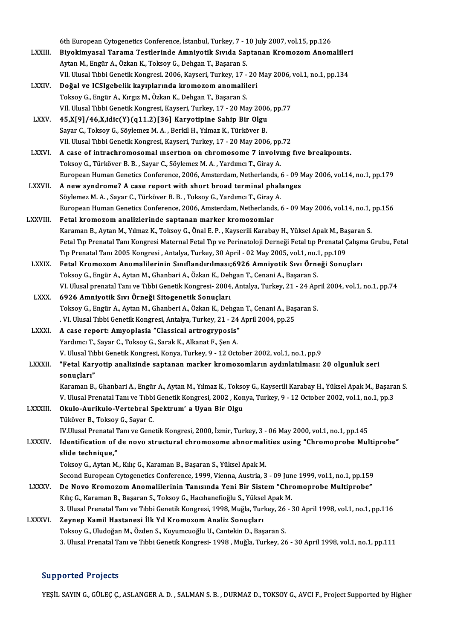6th European Cytogenetics Conference, İstanbul, Turkey, 7 - 10 July 2007, vol.15, pp.126<br>Piyekimyasel Tereme Testlerinde Amniyatik Syyde Sentanan Kromorom Anom

- 6th European Cytogenetics Conference, İstanbul, Turkey, 7 10 July 2007, vol.15, pp.126<br>LXXIII. Biyokimyasal Tarama Testlerinde Amniyotik Sıvıda Saptanan Kromozom Anomalileri 6th European Cytogenetics Conference, İstanbul, Turkey, 7 - 1<br>Biyokimyasal Tarama Testlerinde Amniyotik Sıvıda Saj<br>Aytan M., Engür A., Özkan K., Toksoy G., Dehgan T., Başaran S.<br>VIL Ulysal Tıbbi Canatik Kangresi, 2006, Kay Biyokimyasal Tarama Testlerinde Amniyotik Sıvıda Saptanan Kromozom Anomaliler<br>Aytan M., Engür A., Özkan K., Toksoy G., Dehgan T., Başaran S.<br>VII. Ulusal Tıbbi Genetik Kongresi. 2006, Kayseri, Turkey, 17 - 20 May 2006, vol. Aytan M., Engür A., Özkan K., Toksoy G., Dehgan T., Başaran S.<br>VII. Ulusal Tıbbi Genetik Kongresi. 2006, Kayseri, Turkey, 17 - 20<br>LXXIV. **Doğal ve ICSIgebelik kayıplarında kromozom anomalileri**<br>Toksoy G., Engür A., Kır VII. Ulusal Tibbi Genetik Kongresi. 2006, Kayseri, Turkey, 17 - 20 May 2006, vol.1, no.1, pp.134
- Doğal ve ICSIgebelik kayıplarında kromozom anomalileri<br>Toksoy G., Engür A., Kırgız M., Özkan K., Dehgan T., Başaran S.<br>VII. Ulusal Tıbbi Genetik Kongresi, Kayseri, Turkey, 17 20 May 2006, pp.77<br>45 YI91/46 X idio(X)(911 2 Toksoy G., Engür A., Kırgız M., Özkan K., Dehgan T., Başaran S.<br>VII. Ulusal Tıbbi Genetik Kongresi, Kayseri, Turkey, 17 - 20 May 2006<br>LXXV. 45,X[9]/46,X,idic(Y)(q11.2)[36] Karyotipine Sahip Bir Olgu<br>Sayar G. Toksov G. Sövl
- VII. Ulusal Tıbbi Genetik Kongresi, Kayseri, Turkey, 17 20 May 2006<br>45,X[9]/46,X,idic(Y)(q11.2)[36] Karyotipine Sahip Bir Olgu<br>Sayar C., Toksoy G., Söylemez M. A. , Berkil H., Yılmaz K., Türköver B.<br>VII. Ulusal Tıbbi Can 45,X[9]/46,X,idic(Y)(q11.2)[36] Karyotipine Sahip Bir Olgu<br>Sayar C., Toksoy G., Söylemez M. A. , Berkil H., Yılmaz K., Türköver B.<br>VII. Ulusal Tıbbi Genetik Kongresi, Kayseri, Turkey, 17 - 20 May 2006, pp.72<br>A.9389 of intr
- Sayar C., Toksoy G., Söylemez M. A. , Berkil H., Yılmaz K., Türköver B.<br>VII. Ulusal Tıbbi Genetik Kongresi, Kayseri, Turkey, 17 20 May 2006, pp.72<br>LXXVI. A case of intrachromosomal insertion on chromosome 7 involving VII. Ulusal Tıbbi Genetik Kongresi, Kayseri, Turkey, 17 - 20 May 2006, pp.<br>A case of intrachromosomal insertion on chromosome 7 involvi<br>Toksoy G., Türköver B. B. , Sayar C., Söylemez M. A. , Yardımcı T., Giray A.<br>European European Human Genetics Conference, 2006, Amsterdam, Netherlands, 6 - 09 May 2006, vol.14, no.1, pp.179 Toksoy G., Türköver B. B., Sayar C., Söylemez M. A., Yardımcı T., Giray A.<br>European Human Genetics Conference, 2006, Amsterdam, Netherlands, 6 - 09 N<br>LXXVII. A new syndrome? A case report with short broad terminal phalange
- European Human Genetics Conference, 2006, Amsterdam, Netherlands, A<br>**A new syndrome? A case report with short broad terminal phal.**<br>Söylemez M. A. , Sayar C., Türköver B. B. , Toksoy G., Yardımcı T., Giray A.<br>European Huma Söylemez M. A. , Sayar C., Türköver B. B. , Toksoy G., Yardımcı T., Giray A.<br>European Human Genetics Conference, 2006, Amsterdam, Netherlands, 6 - 09 May 2006, vol.14, no.1, pp.156
- LXXVIII. Fetal kromozom analizlerinde saptanan marker kromozomlar Karaman B., Aytan M., Yılmaz K., Toksoy G., Önal E. P., Kayserili Karabay H., Yüksel Apak M., Başaran S. Fetal Tıp Prenatal Tanı Kongresi Maternal Fetal Tıp ve Perinatoloji Derneği Fetal tıp Prenatal Çalışma Grubu, Fetal Karaman B., Aytan M., Yılmaz K., Toksoy G., Önal E. P. , Kayserili Karabay H., Yüksel Apak M., Ba<br>Fetal Tıp Prenatal Tanı Kongresi Maternal Fetal Tıp ve Perinatoloji Derneği Fetal tıp Prenatal (<br>Tıp Prenatal Tanı 2005 Kong Fetal Tıp Prenatal Tanı Kongresi Maternal Fetal Tıp ve Perinatoloji Derneği Fetal tıp Prenatal Çalışm<br>Tıp Prenatal Tanı 2005 Kongresi , Antalya, Turkey, 30 April - 02 May 2005, vol.1, no.1, pp.109<br>LXXIX. Fetal Kromozom Ano
	- Tıp Prenatal Tanı 2005 Kongresi , Antalya, Turkey, 30 April 02 May 2005, vol.1, no.:<br>Fetal Kromozom Anomalilerinin Sınıflandırılması;6926 Amniyotik Sıvı Örne<br>Toksoy G., Engür A., Aytan M., Ghanbari A., Özkan K., Dehgan T Fetal Kromozom Anomalilerinin Sınıflandırılması;6926 Amniyotik Sıvı Örneği Sonuçları<br>Toksoy G., Engür A., Aytan M., Ghanbari A., Özkan K., Dehgan T., Cenani A., Başaran S.<br>VI. Ulusal prenatal Tanı ve Tıbbi Genetik Kongresi
	- LXXX. 6926 Amniyotik Sıvı Örneği Sitogenetik Sonuçları VI. Ulusal prenatal Tanı ve Tıbbi Genetik Kongresi- 2004, Antalya, Turkey, 21 - 24 Apı<br>6926 Amniyotik Sıvı Örneği Sitogenetik Sonuçları<br>Toksoy G., Engür A., Aytan M., Ghanberi A., Özkan K., Dehgan T., Cenani A., Başaran S. 6926 Amniyotik Sıvı Örneği Sitogenetik Sonuçları<br>Toksoy G., Engür A., Aytan M., Ghanberi A., Özkan K., Dehgan T., Cenani A., Baş<br>. VI. Ulusal Tıbbi Genetik Kongresi, Antalya, Turkey, 21 - 24 April 2004, pp.25<br>A sasa rapart Toksoy G., Engür A., Aytan M., Ghanberi A., Özkan K., Dehgai<br>IVI. Ulusal Tibbi Genetik Kongresi, Antalya, Turkey, 21 - 24.<br>LXXXI. A case report: Amyoplasia "Classical artrogryposis"
- VI. Ulusal Tıbbi Genetik Kongresi, Antalya, Turkey, 21 24 April 2004, pp.25<br>A case report: Amyoplasia "Classical artrogryposis"<br>Yardımcı T., Sayar C., Toksoy G., Sarak K., Alkanat F., Şen A. A case report: Amyoplasia "Classical artrogryposis"<br>Yardımcı T., Sayar C., Toksoy G., Sarak K., Alkanat F., Şen A.<br>V. Ulusal Tıbbi Genetik Kongresi, Konya, Turkey, 9 - 12 October 2002, vol.1, no.1, pp.9<br>"Eetel Korvetin ana
- LXXXII. "Fetal Karyotip analizinde saptanan marker kromozomların aydınlatılması: 20 olgunluk seri<br>sonucları" V. Ulusal Tı<mark>t</mark><br>"Fetal Kary<br>sonuçları"<br><sup>Koromon B</sup> "Fetal Karyotip analizinde saptanan marker kromozomların aydınlatılması: 20 olgunluk seri<br>sonuçları"<br>Karaman B., Ghanbari A., Engür A., Aytan M., Yılmaz K., Toksoy G., Kayserili Karabay H., Yüksel Apak M., Başaran S.<br>V. Ul
- sonuçları"<br>Karaman B., Ghanbari A., Engür A., Aytan M., Yılmaz K., Toksoy G., Kayserili Karabay H., Yüksel Apak M., Başara<br>V. Ulusal Prenatal Tanı ve Tıbbi Genetik Kongresi, 2002 , Konya, Turkey, 9 12 October 2002, vol.1 Karaman B., Ghanbari A., Engür A., Aytan M., Yılmaz K., Toksc<br>V. Ulusal Prenatal Tanı ve Tıbbi Genetik Kongresi, 2002 , Kon<br>LXXXIII. Okulo-Aurikulo-Vertebral Spektrum' a Uyan Bir Olgu<br>Tüköven B. Teksev C. Savan C.

## V. Ulusal Prenatal Tanı ve Tıbbi<br><mark>Okulo-Aurikulo-Vertebral S</mark><br>Tüköver B., Toksoy G., Sayar C.<br>W.Ulusal Prenatal Tanı ve Gone Okulo-Aurikulo-Vertebral Spektrum' a Uyan Bir Olgu<br>Tüköver B., Toksoy G., Sayar C.<br>IV.Ulusal Prenatal Tanı ve Genetik Kongresi, 2000, İzmir, Turkey, 3 - 06 May 2000, vol.1, no.1, pp.145<br>Identification of de neve etnuatural Tüköver B., Toksoy G., Sayar C.<br>IV.Ulusal Prenatal Tanı ve Genetik Kongresi, 2000, İzmir, Turkey, 3 - 06 May 2000, vol.1, no.1, pp.145<br>LXXXIV. Identification of de novo structural chromosome abnormalities using "Chromoprob

**IV.Ulusal Prenatal 1**<br>Identification of<br>slide technique,"<br>Teksey C. Aytan M

# Identification of de novo structural chromosome abnormali<br>slide technique,"<br>Toksoy G., Aytan M., Kılıç G., Karaman B., Başaran S., Yüksel Apak M.<br>Sesend European Cytegenetics Conference, 1999, Vienna, Austria, 3

slide technique,"<br>Toksoy G., Aytan M., Kılıç G., Karaman B., Başaran S., Yüksel Apak M.<br>Second European Cytogenetics Conference, 1999, Vienna, Austria, 3 - 09 June 1999, vol.1, no.1, pp.159

Toksoy G., Aytan M., Kılıç G., Karaman B., Başaran S., Yüksel Apak M.<br>Second European Cytogenetics Conference, 1999, Vienna, Austria, 3 - 09 June 1999, vol.1, no.1, pp.159<br>LXXXV. De Novo Kromozom Anomalilerinin Tanısında Y Second European Cytogenetics Conference, 1999, Vienna, Austria, 3 - 09 Jun<br>De Novo Kromozom Anomalilerinin Tanısında Yeni Bir Sistem "Chrokluç G., Karaman B., Başaran S., Toksoy G., Hacıhanefioğlu S., Yüksel Apak M.<br>2. Ulu De Novo Kromozom Anomalilerinin Tanısında Yeni Bir Sistem "Chromoprobe Multiprobe"<br>Kılıç G., Karaman B., Başaran S., Toksoy G., Hacıhanefioğlu S., Yüksel Apak M.<br>3. Ulusal Prenatal Tanı ve Tıbbi Genetik Kongresi, 1998, Muğ Kılıç G., Karaman B., Başaran S., Toksoy G., Hacıhanefioğlu S., Yüksel<br>3. Ulusal Prenatal Tanı ve Tıbbi Genetik Kongresi, 1998, Muğla, Turl<br>LXXXVI. Zeynep Kamil Hastanesi İlk Yıl Kromozom Analiz Sonuçları<br>Teksov G. Uludeğa

## 3. Ulusal Prenatal Tanı ve Tıbbi Genetik Kongresi, 1998, Muğla, Turkey, 26<br>**Zeynep Kamil Hastanesi İlk Yıl Kromozom Analiz Sonuçları**<br>Toksoy G., Uludoğan M., Özden S., Kuyumcuoğlu U., Cantekin D., Başaran S.<br><sup>2. Ulugal Pre</sup> <mark>Zeynep Kamil Hastanesi İlk Yıl Kromozom Analiz Sonuçları</mark><br>Toksoy G., Uludoğan M., Özden S., Kuyumcuoğlu U., Cantekin D., Başaran S.<br>3. Ulusal Prenatal Tanı ve Tıbbi Genetik Kongresi- 1998 , Muğla, Turkey, 26 - 30 April 19

## Supported Projects

YEŞİL SAYIN G., GÜLEÇ Ç., ASLANGER A. D., SALMAN S. B., DURMAZ D., TOKSOY G., AVCI F., Project Supported by Higher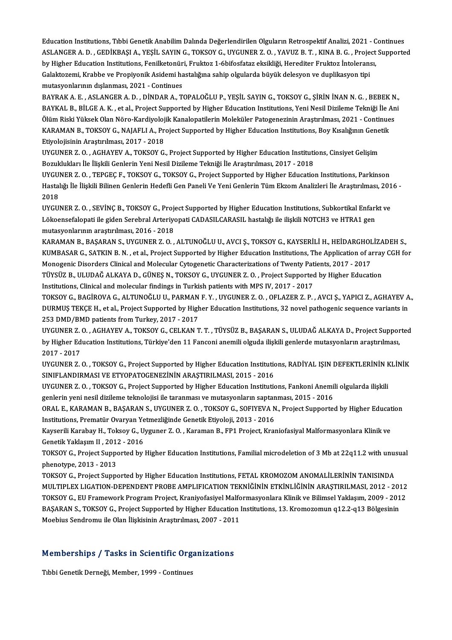Education Institutions, Tıbbi Genetik Anabilim Dalında Değerlendirilen Olguların Retrospektif Analizi, 2021 - Continues<br>ASLANGER A. D., GEDİKRASLA, YESİL SAYIN G., TOKSOV G., UVGUNER Z. O., YAYUZ R.T., KINA R.G., Preject S ASLANGER A. D. , GEDİKBAŞI A., YEŞİL SAYIN G., TOKSOY G., UYGUNER Z. O. , YAVUZ B. T. , KINA B. G. , Project Supported<br>by Higher Education Institutions, Fenilketonüri, Fruktoz 1-6bifosfataz eksikliği, Herediter Fruktoz İnt Education Institutions, Tıbbi Genetik Anabilim Dalında Değerlendirilen Olguların Retrospektif Analizi, 2021 - C<br>ASLANGER A. D. , GEDİKBAŞI A., YEŞİL SAYIN G., TOKSOY G., UYGUNER Z. O. , YAVUZ B. T. , KINA B. G. , Project<br>b ASLANGER A. D. , GEDİKBAŞI A., YEŞİL SAYIN G., TOKSOY G., UYGUNER Z. O. , YAVUZ B. T. , KINA B. G. , Proje<br>by Higher Education Institutions, Fenilketonüri, Fruktoz 1-6bifosfataz eksikliği, Herediter Fruktoz İntolerans<br>Gala by Higher Education Institutions, Fenilketonür<br>Galaktozemi, Krabbe ve Propiyonik Asidemi ha<br>mutasyonlarının dışlanması, 2021 - Continues<br>BAYRAK A. F. ASI ANCER A. D. DİNDAR A. Ti Galaktozemi, Krabbe ve Propiyonik Asidemi hastalığına sahip olgularda büyük delesyon ve duplikasyon tipi<br>mutasyonlarının dışlanması, 2021 - Continues<br>BAYRAK A. E. , ASLANGER A. D. , DİNDAR A., TOPALOĞLU P., YEŞİL SAYIN G.,

mutasyonlarının dışlanması, 2021 - Continues<br>BAYRAK A. E. , ASLANGER A. D. , DİNDAR A., TOPALOĞLU P., YEŞİL SAYIN G., TOKSOY G., ŞİRİN İNAN N. G. , BEBEK N<br>BAYKAL B., BİLGE A. K. , et al., Project Supported by Higher Educa BAYRAK A. E. , ASLANGER A. D. , DİNDAR A., TOPALOĞLU P., YEŞİL SAYIN G., TOKSOY G., ŞİRİN İNAN N. G. , BEBEK N<br>BAYKAL B., BİLGE A. K. , et al., Project Supported by Higher Education Institutions, Yeni Nesil Dizileme Tekniğ BAYKAL B., BİLGE A. K. , et al., Project Supported by Higher Education Institutions, Yeni Nesil Dizileme Tekniği İle Ani<br>Ölüm Riski Yüksek Olan Nöro-Kardiyolojik Kanalopatilerin Moleküler Patogenezinin Araştırılması, 2021 KARAMAN B., TOKSOY G., NAJAFLI A., Project Supported by Higher Education Institutions, Boy Kısalığının Genetik KARAMAN B., TOKSOY G., NAJAFLI A., Project Supported by Higher Education Institutions, Boy Kısalığının Gene<br>Etiyolojisinin Araştırılması, 2017 - 2018<br>UYGUNER Z. O. , AGHAYEV A., TOKSOY G., Project Supported by Higher Educa

Etiyolojisinin Araştırılması, 2017 - 2018<br>UYGUNER Z. O. , AGHAYEV A., TOKSOY G., Project Supported by Higher Education Instituti<br>Bozuklukları İle İlişkili Genlerin Yeni Nesil Dizileme Tekniği İle Araştırılması, 2017 - 2018 UYGUNER Z. O. , AGHAYEV A., TOKSOY G., Project Supported by Higher Education Institutions, Cinsiyet Gelişim<br>Bozuklukları İle İlişkili Genlerin Yeni Nesil Dizileme Tekniği İle Araştırılması, 2017 - 2018<br>UYGUNER Z. O. , TEPG

Bozuklukları İle İlişkili Genlerin Yeni Nesil Dizileme Tekniği İle Araştırılması, 2017 - 2018<br>UYGUNER Z. O. , TEPGEÇ F., TOKSOY G., TOKSOY G., Project Supported by Higher Education Institutions, Parkinson<br>Hastalığı İle İli UYGU<br>Hastal<br>2018<br>UVCU Hastalığı İle İlişkili Bilinen Genlerin Hedefli Gen Paneli Ve Yeni Genlerin Tüm Ekzom Analizleri İle Araştırılması, 201<br>2018<br>UYGUNER Z. O. , SEVİNÇ B., TOKSOY G., Project Supported by Higher Education Institutions, Subkort

2018<br>UYGUNER Z. O. , SEVİNÇ B., TOKSOY G., Project Supported by Higher Education Institutions, Subkortikal Enfarl<br>Lökoensefalopati ile giden Serebral Arteriyopati CADASILCARASIL hastalığı ile ilişkili NOTCH3 ve HTRA1 gen<br>m UYGUNER Z. O. , SEVİNÇ B., TOKSOY G., Proje<br>Lökoensefalopati ile giden Serebral Arteriyo<br>mutasyonlarının araştırılması, 2016 - 2018<br>KARAMAN B. PASARAN S. UYGUNER Z. O Lökoensefalopati ile giden Serebral Arteriyopati CADASILCARASIL hastalığı ile ilişkili NOTCH3 ve HTRA1 gen<br>mutasyonlarının araştırılması, 2016 - 2018<br>KARAMAN B., BAŞARAN S., UYGUNER Z. O. , ALTUNOĞLU U., AVCI Ş., TOKSOY G.

mutasyonlarının araştırılması, 2016 - 2018<br>KARAMAN B., BAŞARAN S., UYGUNER Z. O. , ALTUNOĞLU U., AVCI Ş., TOKSOY G., KAYSERİLİ H., HEİDARGHOLİZADEH S.,<br>KUMBASAR G., SATKIN B. N. , et al., Project Supported by Higher Educat KARAMAN B., BAŞARAN S., UYGUNER Z. O. , ALTUNOĞLU U., AVCI Ş., TOKSOY G., KAYSERİLİ H., HEİDARGHOL<br>KUMBASAR G., SATKIN B. N. , et al., Project Supported by Higher Education Institutions, The Application of an<br>Monogenic Dis KUMBASAR G., SATKIN B. N. , et al., Project Supported by Higher Education Institutions, The Application of array<br>Monogenic Disorders Clinical and Molecular Cytogenetic Characterizations of Twenty Patients, 2017 - 2017<br>TÜYS Monogenic Disorders Clinical and Molecular Cytogenetic Characterizations of Twenty Patients, 2017 - 2017<br>TÜYSÜZ B., ULUDAĞ ALKAYA D., GÜNEŞ N., TOKSOY G., UYGUNER Z. O. , Project Supported by Higher Education<br>Institutions,

TÜYSÜZ B., ULUDAĞ ALKAYA D., GÜNEŞ N., TOKSOY G., UYGUNER Z. O. , Project Supported by Higher Education<br>Institutions, Clinical and molecular findings in Turkish patients with MPS IV, 2017 - 2017<br>TOKSOY G., BAGİROVA G., ALT Institutions, Clinical and molecular findings in Turkish patients with MPS IV, 2017 - 2017<br>TOKSOY G., BAGİROVA G., ALTUNOĞLU U., PARMAN F. Y. , UYGUNER Z. O. , OFLAZER Z. P. , AVCI Ş., YAPICI Z., AGHAYEV A<br>DURMUŞ TEKÇE H., TOKSOY G., BAGİROVA G., ALTUNOĞLU U., PARMAN<br>DURMUŞ TEKÇE H., et al., Project Supported by High<br>253 DMD/BMD patients from Turkey, 2017 - 2017<br>UVCUNER Z. O., ACHAYEV A., TOKSOY G., CELKAN T DURMUŞ TEKÇE H., et al., Project Supported by Higher Education Institutions, 32 novel pathogenic sequence variants in<br>253 DMD/BMD patients from Turkey, 2017 - 2017<br>UYGUNER Z. O. , AGHAYEV A., TOKSOY G., CELKAN T. T. , TÜYS

253 DMD/BMD patients from Turkey, 2017 - 2017<br>UYGUNER Z. O. , AGHAYEV A., TOKSOY G., CELKAN T. T. , TÜYSÜZ B., BAŞARAN S., ULUDAĞ ALKAYA D., Project Suppor<br>by Higher Education Institutions, Türkiye'den 11 Fanconi anemili o UYGUNER Z.<br>by Higher Ed<br>2017 - 2017<br>UVCUNER Z by Higher Education Institutions, Türkiye'den 11 Fanconi anemili olguda ilişkili genlerde mutasyonların araştırılması,<br>2017 - 2017<br>UYGUNER Z. O. , TOKSOY G., Project Supported by Higher Education Institutions, RADİYAL IŞIN

2017 - 2017<br>UYGUNER Z. O. , TOKSOY G., Project Supported by Higher Education Institution<br>SINIFLANDIRMASI VE ETYOPATOGENEZİNİN ARAŞTIRILMASI, 2015 - 2016<br>UYGUNER Z. O., TOKSOY G., Project Supported bu Higher Education Insti UYGUNER Z. O. , TOKSOY G., Project Supported by Higher Education Institutions, RADİYAL IŞIN DEFEKTLERİNİN K<br>SINIFLANDIRMASI VE ETYOPATOGENEZİNİN ARAŞTIRILMASI, 2015 - 2016<br>UYGUNER Z. O. , TOKSOY G., Project Supported by Hi

SINIFLANDIRMASI VE ETYOPATOGENEZİNİN ARAŞTIRILMASI, 2015 - 2016<br>UYGUNER Z. O. , TOKSOY G., Project Supported by Higher Education Institutions, Fankoni Anemi<br>genlerin yeni nesil dizileme teknolojisi ile taranması ve mutasyo UYGUNER Z. O. , TOKSOY G., Project Supported by Higher Education Institutions, Fankoni Anemili olgularda ilişkili<br>genlerin yeni nesil dizileme teknolojisi ile taranması ve mutasyonların saptanması, 2015 - 2016<br>ORAL E., KAR

genlerin yeni nesil dizileme teknolojisi ile taranması ve mutasyonların saptan<br>ORAL E., KARAMAN B., BAŞARAN S., UYGUNER Z. O. , TOKSOY G., SOFIYEVA N<br>Institutions, Prematür Ovaryan Yetmezliğinde Genetik Etiyoloji, 2013 - 2 ORAL E., KARAMAN B., BAŞARAN S., UYGUNER Z. O. , TOKSOY G., SOFIYEVA N., Project Supported by Higher Educat<br>Institutions, Prematür Ovaryan Yetmezliğinde Genetik Etiyoloji, 2013 - 2016<br>Kayserili Karabay H., Toksoy G., Uygun

Institutions, Prematür Ovaryan Yetmezliğinde Genetik Etiyoloji, 2013 - 2016<br>Kayserili Karabay H., Toksoy G., Uyguner Z. O. , Karaman B., FP1 Project, Kraniofasiyal Malformasyonlara Klinik ve<br>Genetik Yaklaşım II , 2012 - 20 Kayserili Karabay H., Toksoy G., Uyguner Z. O. , Karaman B., FP1 Project, Kraniofasiyal Malformasyonlara Klinik ve<br>Genetik Yaklaşım II , 2012 - 2016<br>TOKSOY G., Project Supported by Higher Education Institutions, Familial m

Genetik Yaklaşım II , 201:<br>TOKSOY G., Project Suppo<br>phenotype, 2013 - 2013<br>TOKSOY G. Project Suppo TOKSOY G., Project Supported by Higher Education Institutions, Familial microdeletion of 3 Mb at 22q11.2 with unus<br>phenotype, 2013 - 2013<br>TOKSOY G., Project Supported by Higher Education Institutions, FETAL KROMOZOM ANOMAL

phenotype, 2013 - 2013<br>TOKSOY G., Project Supported by Higher Education Institutions, FETAL KROMOZOM ANOMALİLERİNİN TANISINDA<br>MULTIPLEX LIGATION-DEPENDENT PROBE AMPLIFICATION TEKNİĞİNİN ETKİNLİĞİNİN ARAŞTIRILMASI, 2012 - 2 TOKSOY G., Project Supported by Higher Education Institutions, FETAL KROMOZOM ANOMALİLERİNİN TANISINDA<br>MULTIPLEX LIGATION-DEPENDENT PROBE AMPLIFICATION TEKNİĞİNİN ETKİNLİĞİNİN ARAŞTIRILMASI, 2012 - 2012<br>TOKSOY G., EU Frame MULTIPLEX LIGATION-DEPENDENT PROBE AMPLIFICATION TEKNİĞİNİN ETKİNLİĞİNİN ARAŞTIRILMASI, 2012 - 201<br>TOKSOY G., EU Framework Program Project, Kraniyofasiyel Malformasyonlara Klinik ve Bilimsel Yaklaşım, 2009 - 201<br>BAŞARAN S. TOKSOY G., EU Framework Program Project, Kraniyofasiyel Malformasyonlara Klinik ve Bilimsel Yaklaşım, 2009 - 2012<br>BAŞARAN S., TOKSOY G., Project Supported by Higher Education Institutions, 13. Kromozomun q12.2-q13 Bölgesin

## Moebius sendromu lie Olan liiškisinin Arašurilmasi, 2007 - 201<br>Memberships / Tasks in Scientific Organizations <mark>Memberships / Tasks in Scientific Org</mark><br>Tıbbi Genetik Derneği, Member, 1999 - Continues